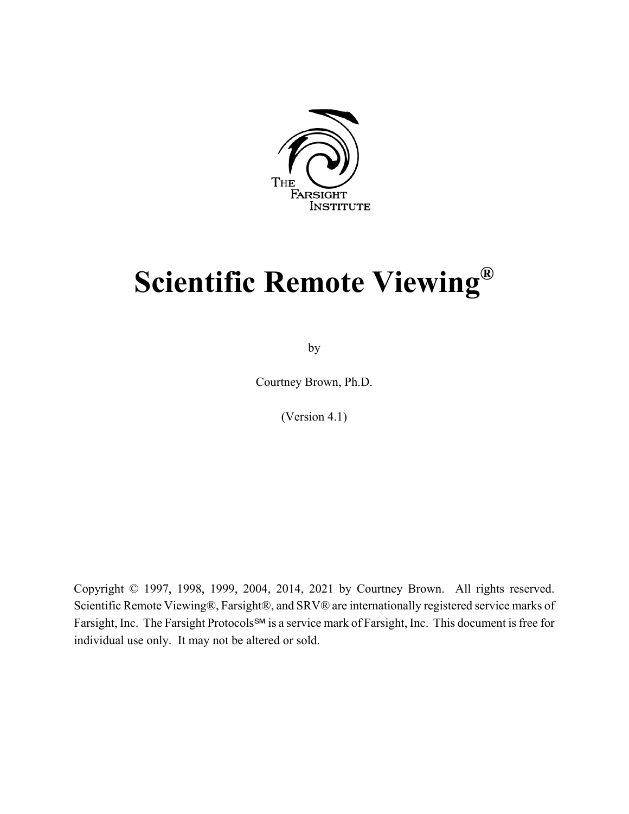

# **Scientific Remote Viewing®**

by

Courtney Brown, Ph.D.

(Version 4.1)

Copyright © 1997, 1998, 1999, 2004, 2014, 2021 by Courtney Brown. All rights reserved. Scientific Remote Viewing®, Farsight®, and SRV® are internationally registered service marks of Farsight, Inc. The Farsight Protocols<sup>SM</sup> is a service mark of Farsight, Inc. This document is free for individual use only. It may not be altered or sold.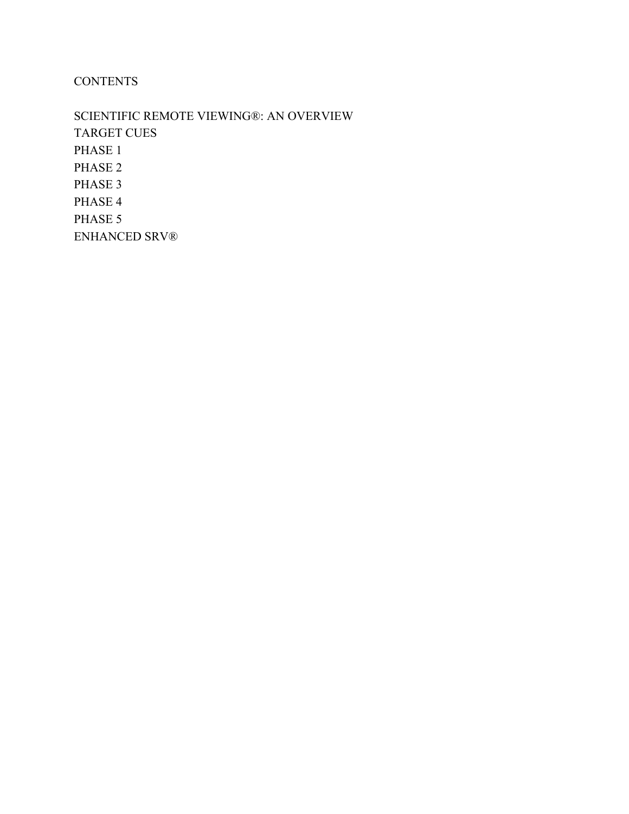#### **CONTENTS**

SCIENTIFIC REMOTE VIEWING®: AN OVERVIEW TARGET CUES PHASE 1 PHASE 2 PHASE 3 PHASE 4 PHASE 5 ENHANCED SRV®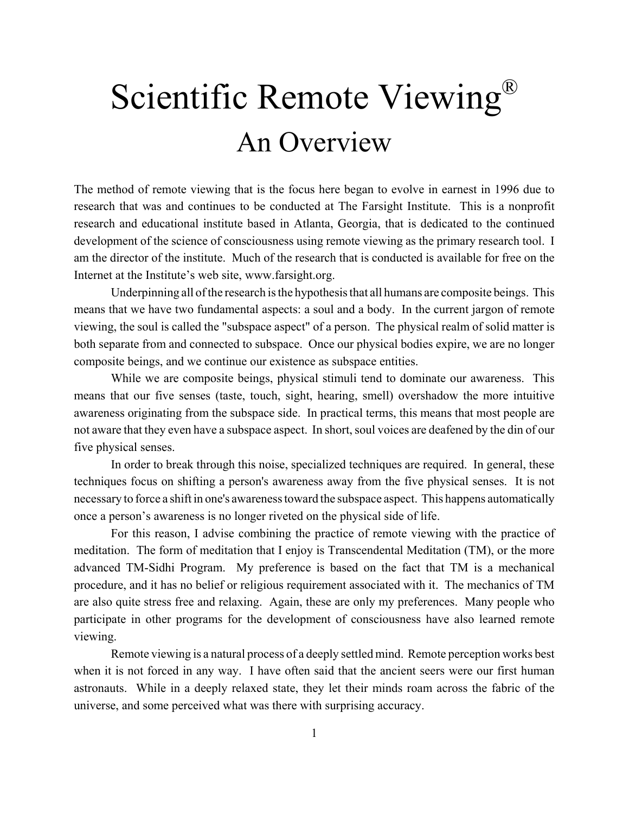# Scientific Remote Viewing<sup>®</sup> An Overview

The method of remote viewing that is the focus here began to evolve in earnest in 1996 due to research that was and continues to be conducted at The Farsight Institute. This is a nonprofit research and educational institute based in Atlanta, Georgia, that is dedicated to the continued development of the science of consciousness using remote viewing as the primary research tool. I am the director of the institute. Much of the research that is conducted is available for free on the Internet at the Institute's web site, www.farsight.org.

Underpinning all of the research is the hypothesis that all humans are composite beings. This means that we have two fundamental aspects: a soul and a body. In the current jargon of remote viewing, the soul is called the "subspace aspect" of a person. The physical realm of solid matter is both separate from and connected to subspace. Once our physical bodies expire, we are no longer composite beings, and we continue our existence as subspace entities.

While we are composite beings, physical stimuli tend to dominate our awareness. This means that our five senses (taste, touch, sight, hearing, smell) overshadow the more intuitive awareness originating from the subspace side. In practical terms, this means that most people are not aware that they even have a subspace aspect. In short, soul voices are deafened by the din of our five physical senses.

In order to break through this noise, specialized techniques are required. In general, these techniques focus on shifting a person's awareness away from the five physical senses. It is not necessary to force a shift in one's awareness toward the subspace aspect. This happens automatically once a person's awareness is no longer riveted on the physical side of life.

For this reason, I advise combining the practice of remote viewing with the practice of meditation. The form of meditation that I enjoy is Transcendental Meditation (TM), or the more advanced TM-Sidhi Program. My preference is based on the fact that TM is a mechanical procedure, and it has no belief or religious requirement associated with it. The mechanics of TM are also quite stress free and relaxing. Again, these are only my preferences. Many people who participate in other programs for the development of consciousness have also learned remote viewing.

Remote viewing is a natural process of a deeply settled mind. Remote perception works best when it is not forced in any way. I have often said that the ancient seers were our first human astronauts. While in a deeply relaxed state, they let their minds roam across the fabric of the universe, and some perceived what was there with surprising accuracy.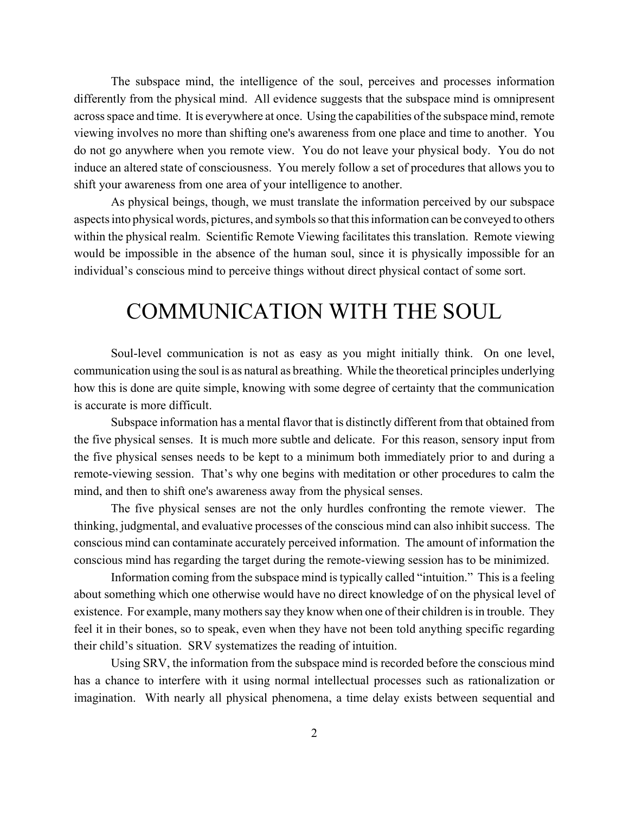The subspace mind, the intelligence of the soul, perceives and processes information differently from the physical mind. All evidence suggests that the subspace mind is omnipresent across space and time. It is everywhere at once. Using the capabilities of the subspace mind, remote viewing involves no more than shifting one's awareness from one place and time to another. You do not go anywhere when you remote view. You do not leave your physical body. You do not induce an altered state of consciousness. You merely follow a set of procedures that allows you to shift your awareness from one area of your intelligence to another.

As physical beings, though, we must translate the information perceived by our subspace aspects into physical words, pictures, and symbols so that this information can be conveyed to others within the physical realm. Scientific Remote Viewing facilitates this translation. Remote viewing would be impossible in the absence of the human soul, since it is physically impossible for an individual's conscious mind to perceive things without direct physical contact of some sort.

# COMMUNICATION WITH THE SOUL

Soul-level communication is not as easy as you might initially think. On one level, communication using the soul is as natural as breathing. While the theoretical principles underlying how this is done are quite simple, knowing with some degree of certainty that the communication is accurate is more difficult.

Subspace information has a mental flavor that is distinctly different from that obtained from the five physical senses. It is much more subtle and delicate. For this reason, sensory input from the five physical senses needs to be kept to a minimum both immediately prior to and during a remote-viewing session. That's why one begins with meditation or other procedures to calm the mind, and then to shift one's awareness away from the physical senses.

The five physical senses are not the only hurdles confronting the remote viewer. The thinking, judgmental, and evaluative processes of the conscious mind can also inhibit success. The conscious mind can contaminate accurately perceived information. The amount of information the conscious mind has regarding the target during the remote-viewing session has to be minimized.

Information coming from the subspace mind is typically called "intuition." This is a feeling about something which one otherwise would have no direct knowledge of on the physical level of existence. For example, many mothers say they know when one of their children is in trouble. They feel it in their bones, so to speak, even when they have not been told anything specific regarding their child's situation. SRV systematizes the reading of intuition.

Using SRV, the information from the subspace mind is recorded before the conscious mind has a chance to interfere with it using normal intellectual processes such as rationalization or imagination. With nearly all physical phenomena, a time delay exists between sequential and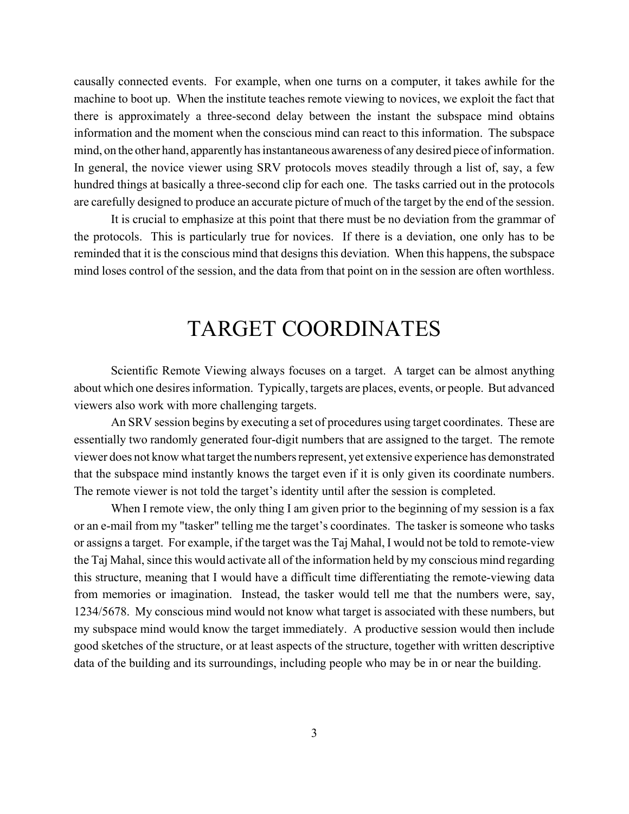causally connected events. For example, when one turns on a computer, it takes awhile for the machine to boot up. When the institute teaches remote viewing to novices, we exploit the fact that there is approximately a three-second delay between the instant the subspace mind obtains information and the moment when the conscious mind can react to this information. The subspace mind, on the other hand, apparently has instantaneous awareness of any desired piece of information. In general, the novice viewer using SRV protocols moves steadily through a list of, say, a few hundred things at basically a three-second clip for each one. The tasks carried out in the protocols are carefully designed to produce an accurate picture of much of the target by the end of the session.

It is crucial to emphasize at this point that there must be no deviation from the grammar of the protocols. This is particularly true for novices. If there is a deviation, one only has to be reminded that it is the conscious mind that designs this deviation. When this happens, the subspace mind loses control of the session, and the data from that point on in the session are often worthless.

## TARGET COORDINATES

Scientific Remote Viewing always focuses on a target. A target can be almost anything about which one desires information. Typically, targets are places, events, or people. But advanced viewers also work with more challenging targets.

An SRV session begins by executing a set of procedures using target coordinates. These are essentially two randomly generated four-digit numbers that are assigned to the target. The remote viewer does not know what target the numbers represent, yet extensive experience has demonstrated that the subspace mind instantly knows the target even if it is only given its coordinate numbers. The remote viewer is not told the target's identity until after the session is completed.

When I remote view, the only thing I am given prior to the beginning of my session is a fax or an e-mail from my "tasker" telling me the target's coordinates. The tasker is someone who tasks or assigns a target. For example, if the target was the Taj Mahal, I would not be told to remote-view the Taj Mahal, since this would activate all of the information held by my conscious mind regarding this structure, meaning that I would have a difficult time differentiating the remote-viewing data from memories or imagination. Instead, the tasker would tell me that the numbers were, say, 1234/5678. My conscious mind would not know what target is associated with these numbers, but my subspace mind would know the target immediately. A productive session would then include good sketches of the structure, or at least aspects of the structure, together with written descriptive data of the building and its surroundings, including people who may be in or near the building.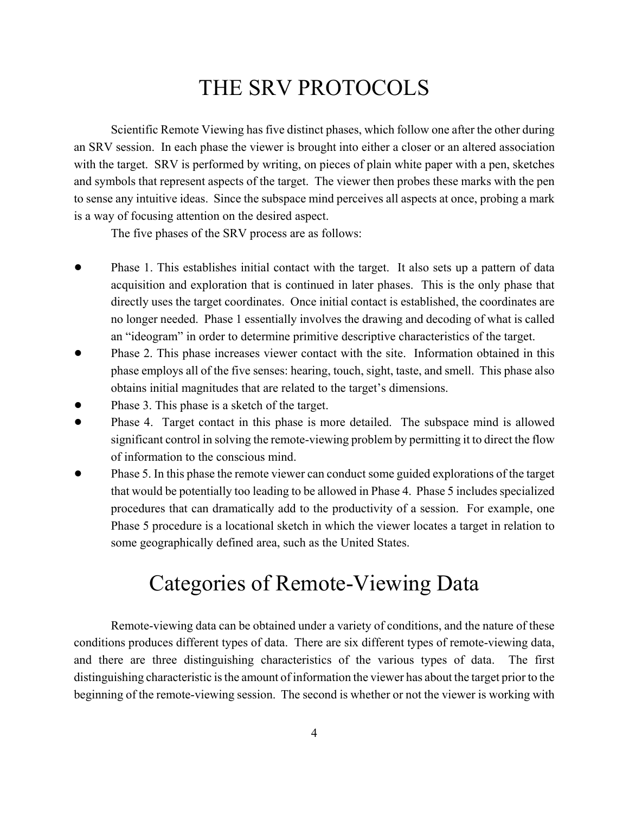# THE SRV PROTOCOLS

Scientific Remote Viewing has five distinct phases, which follow one after the other during an SRV session. In each phase the viewer is brought into either a closer or an altered association with the target. SRV is performed by writing, on pieces of plain white paper with a pen, sketches and symbols that represent aspects of the target. The viewer then probes these marks with the pen to sense any intuitive ideas. Since the subspace mind perceives all aspects at once, probing a mark is a way of focusing attention on the desired aspect.

The five phases of the SRV process are as follows:

- Phase 1. This establishes initial contact with the target. It also sets up a pattern of data acquisition and exploration that is continued in later phases. This is the only phase that directly uses the target coordinates. Once initial contact is established, the coordinates are no longer needed. Phase 1 essentially involves the drawing and decoding of what is called an "ideogram" in order to determine primitive descriptive characteristics of the target.
- Phase 2. This phase increases viewer contact with the site. Information obtained in this phase employs all of the five senses: hearing, touch, sight, taste, and smell. This phase also obtains initial magnitudes that are related to the target's dimensions.
- Phase 3. This phase is a sketch of the target.
- Phase 4. Target contact in this phase is more detailed. The subspace mind is allowed significant control in solving the remote-viewing problem by permitting it to direct the flow of information to the conscious mind.
- ! Phase 5. In this phase the remote viewer can conduct some guided explorations of the target that would be potentially too leading to be allowed in Phase 4. Phase 5 includes specialized procedures that can dramatically add to the productivity of a session. For example, one Phase 5 procedure is a locational sketch in which the viewer locates a target in relation to some geographically defined area, such as the United States.

# Categories of Remote-Viewing Data

Remote-viewing data can be obtained under a variety of conditions, and the nature of these conditions produces different types of data. There are six different types of remote-viewing data, and there are three distinguishing characteristics of the various types of data. The first distinguishing characteristic is the amount of information the viewer has about the target prior to the beginning of the remote-viewing session. The second is whether or not the viewer is working with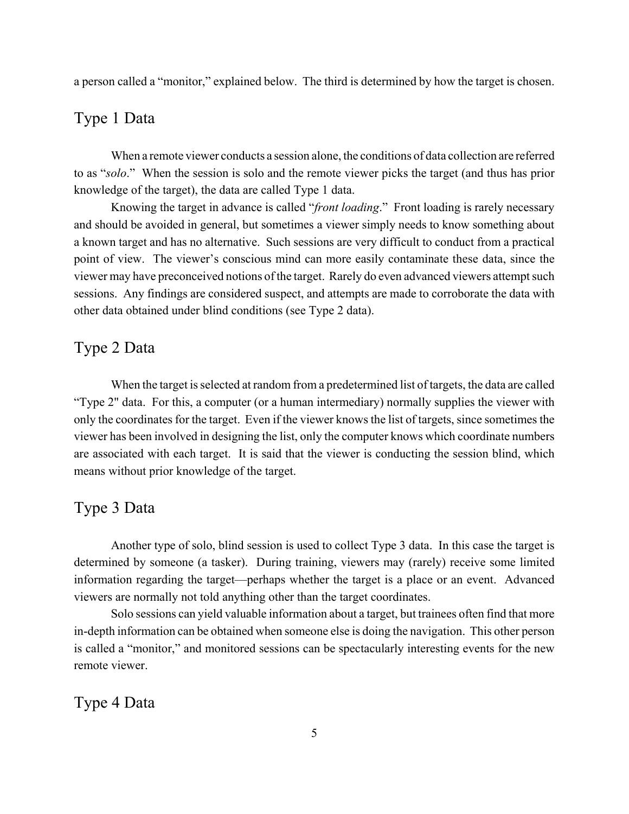a person called a "monitor," explained below. The third is determined by how the target is chosen.

#### Type 1 Data

When a remote viewer conducts a session alone, the conditions of data collection are referred to as "*solo*." When the session is solo and the remote viewer picks the target (and thus has prior knowledge of the target), the data are called Type 1 data.

Knowing the target in advance is called "*front loading*." Front loading is rarely necessary and should be avoided in general, but sometimes a viewer simply needs to know something about a known target and has no alternative. Such sessions are very difficult to conduct from a practical point of view. The viewer's conscious mind can more easily contaminate these data, since the viewer may have preconceived notions of the target. Rarely do even advanced viewers attempt such sessions. Any findings are considered suspect, and attempts are made to corroborate the data with other data obtained under blind conditions (see Type 2 data).

### Type 2 Data

When the target is selected at random from a predetermined list of targets, the data are called "Type 2" data. For this, a computer (or a human intermediary) normally supplies the viewer with only the coordinates for the target. Even if the viewer knows the list of targets, since sometimes the viewer has been involved in designing the list, only the computer knows which coordinate numbers are associated with each target. It is said that the viewer is conducting the session blind, which means without prior knowledge of the target.

#### Type 3 Data

Another type of solo, blind session is used to collect Type 3 data. In this case the target is determined by someone (a tasker). During training, viewers may (rarely) receive some limited information regarding the target—perhaps whether the target is a place or an event. Advanced viewers are normally not told anything other than the target coordinates.

Solo sessions can yield valuable information about a target, but trainees often find that more in-depth information can be obtained when someone else is doing the navigation. This other person is called a "monitor," and monitored sessions can be spectacularly interesting events for the new remote viewer.

Type 4 Data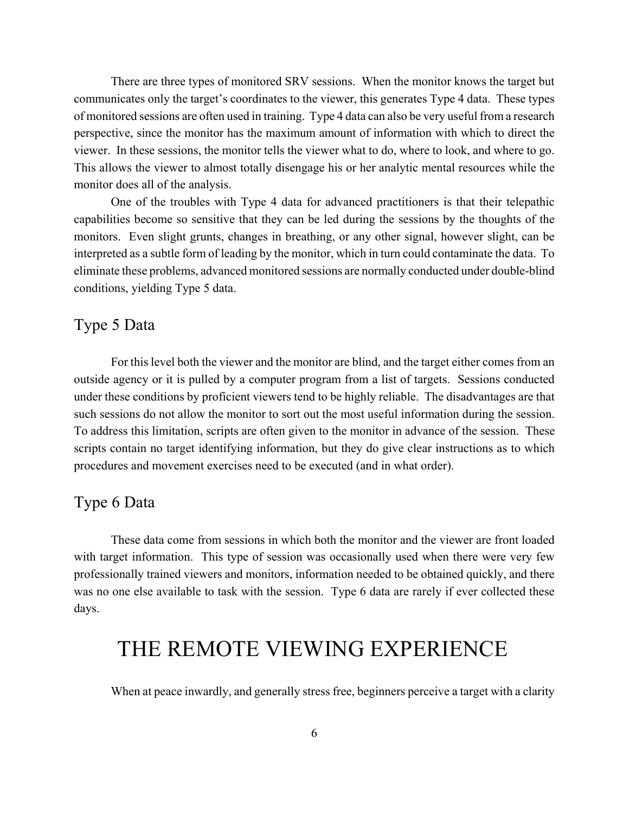There are three types of monitored SRV sessions. When the monitor knows the target but communicates only the target's coordinates to the viewer, this generates Type 4 data. These types of monitored sessions are often used in training. Type 4 data can also be very useful from a research perspective, since the monitor has the maximum amount of information with which to direct the viewer. In these sessions, the monitor tells the viewer what to do, where to look, and where to go. This allows the viewer to almost totally disengage his or her analytic mental resources while the monitor does all of the analysis.

One of the troubles with Type 4 data for advanced practitioners is that their telepathic capabilities become so sensitive that they can be led during the sessions by the thoughts of the monitors. Even slight grunts, changes in breathing, or any other signal, however slight, can be interpreted as a subtle form of leading by the monitor, which in turn could contaminate the data. To eliminate these problems, advanced monitored sessions are normally conducted under double-blind conditions, yielding Type 5 data.

#### Type 5 Data

For this level both the viewer and the monitor are blind, and the target either comes from an outside agency or it is pulled by a computer program from a list of targets. Sessions conducted under these conditions by proficient viewers tend to be highly reliable. The disadvantages are that such sessions do not allow the monitor to sort out the most useful information during the session. To address this limitation, scripts are often given to the monitor in advance of the session. These scripts contain no target identifying information, but they do give clear instructions as to which procedures and movement exercises need to be executed (and in what order).

### Type 6 Data

These data come from sessions in which both the monitor and the viewer are front loaded with target information. This type of session was occasionally used when there were very few professionally trained viewers and monitors, information needed to be obtained quickly, and there was no one else available to task with the session. Type 6 data are rarely if ever collected these days.

## THE REMOTE VIEWING EXPERIENCE

When at peace inwardly, and generally stress free, beginners perceive a target with a clarity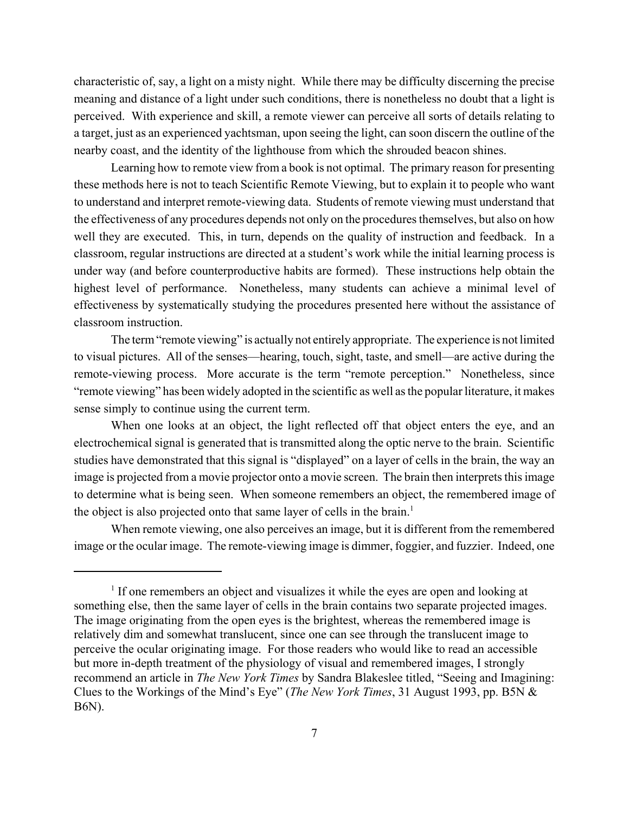characteristic of, say, a light on a misty night. While there may be difficulty discerning the precise meaning and distance of a light under such conditions, there is nonetheless no doubt that a light is perceived. With experience and skill, a remote viewer can perceive all sorts of details relating to a target, just as an experienced yachtsman, upon seeing the light, can soon discern the outline of the nearby coast, and the identity of the lighthouse from which the shrouded beacon shines.

Learning how to remote view from a book is not optimal. The primary reason for presenting these methods here is not to teach Scientific Remote Viewing, but to explain it to people who want to understand and interpret remote-viewing data. Students of remote viewing must understand that the effectiveness of any procedures depends not only on the procedures themselves, but also on how well they are executed. This, in turn, depends on the quality of instruction and feedback. In a classroom, regular instructions are directed at a student's work while the initial learning process is under way (and before counterproductive habits are formed). These instructions help obtain the highest level of performance. Nonetheless, many students can achieve a minimal level of effectiveness by systematically studying the procedures presented here without the assistance of classroom instruction.

The term "remote viewing" is actually not entirely appropriate. The experience is not limited to visual pictures. All of the senses—hearing, touch, sight, taste, and smell—are active during the remote-viewing process. More accurate is the term "remote perception." Nonetheless, since "remote viewing" has been widely adopted in the scientific as well as the popular literature, it makes sense simply to continue using the current term.

When one looks at an object, the light reflected off that object enters the eye, and an electrochemical signal is generated that is transmitted along the optic nerve to the brain. Scientific studies have demonstrated that this signal is "displayed" on a layer of cells in the brain, the way an image is projected from a movie projector onto a movie screen. The brain then interprets this image to determine what is being seen. When someone remembers an object, the remembered image of the object is also projected onto that same layer of cells in the brain.<sup>1</sup>

When remote viewing, one also perceives an image, but it is different from the remembered image or the ocular image. The remote-viewing image is dimmer, foggier, and fuzzier. Indeed, one

<sup>&</sup>lt;sup>1</sup> If one remembers an object and visualizes it while the eyes are open and looking at something else, then the same layer of cells in the brain contains two separate projected images. The image originating from the open eyes is the brightest, whereas the remembered image is relatively dim and somewhat translucent, since one can see through the translucent image to perceive the ocular originating image. For those readers who would like to read an accessible but more in-depth treatment of the physiology of visual and remembered images, I strongly recommend an article in *The New York Times* by Sandra Blakeslee titled, "Seeing and Imagining: Clues to the Workings of the Mind's Eye" (*The New York Times*, 31 August 1993, pp. B5N & B6N).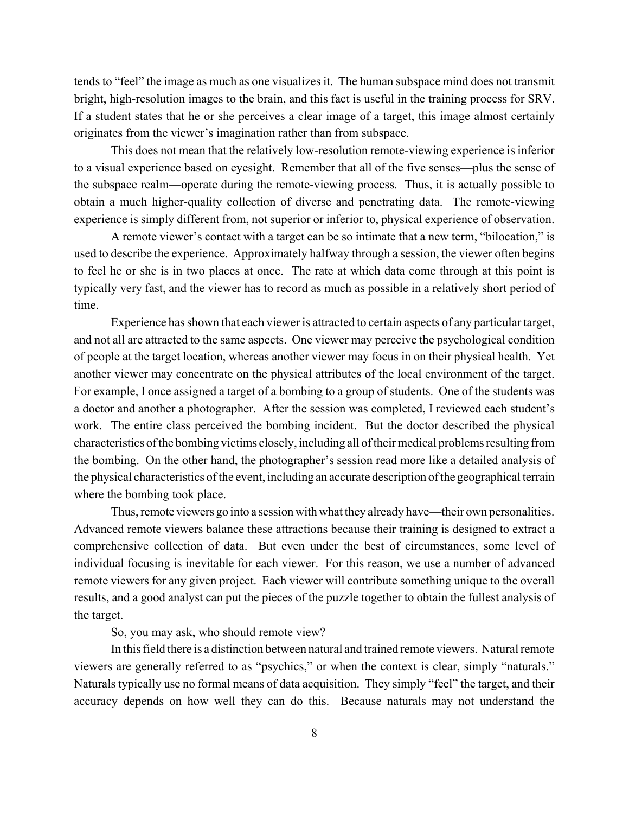tends to "feel" the image as much as one visualizes it. The human subspace mind does not transmit bright, high-resolution images to the brain, and this fact is useful in the training process for SRV. If a student states that he or she perceives a clear image of a target, this image almost certainly originates from the viewer's imagination rather than from subspace.

This does not mean that the relatively low-resolution remote-viewing experience is inferior to a visual experience based on eyesight. Remember that all of the five senses—plus the sense of the subspace realm—operate during the remote-viewing process. Thus, it is actually possible to obtain a much higher-quality collection of diverse and penetrating data. The remote-viewing experience is simply different from, not superior or inferior to, physical experience of observation.

A remote viewer's contact with a target can be so intimate that a new term, "bilocation," is used to describe the experience. Approximately halfway through a session, the viewer often begins to feel he or she is in two places at once. The rate at which data come through at this point is typically very fast, and the viewer has to record as much as possible in a relatively short period of time.

Experience has shown that each viewer is attracted to certain aspects of any particular target, and not all are attracted to the same aspects. One viewer may perceive the psychological condition of people at the target location, whereas another viewer may focus in on their physical health. Yet another viewer may concentrate on the physical attributes of the local environment of the target. For example, I once assigned a target of a bombing to a group of students. One of the students was a doctor and another a photographer. After the session was completed, I reviewed each student's work. The entire class perceived the bombing incident. But the doctor described the physical characteristics of the bombing victims closely, including all of their medical problems resulting from the bombing. On the other hand, the photographer's session read more like a detailed analysis of the physical characteristics of the event, including an accurate description of the geographical terrain where the bombing took place.

Thus, remote viewers go into a session with what they already have—their own personalities. Advanced remote viewers balance these attractions because their training is designed to extract a comprehensive collection of data. But even under the best of circumstances, some level of individual focusing is inevitable for each viewer. For this reason, we use a number of advanced remote viewers for any given project. Each viewer will contribute something unique to the overall results, and a good analyst can put the pieces of the puzzle together to obtain the fullest analysis of the target.

So, you may ask, who should remote view?

In this field there is a distinction between natural and trained remote viewers. Natural remote viewers are generally referred to as "psychics," or when the context is clear, simply "naturals." Naturals typically use no formal means of data acquisition. They simply "feel" the target, and their accuracy depends on how well they can do this. Because naturals may not understand the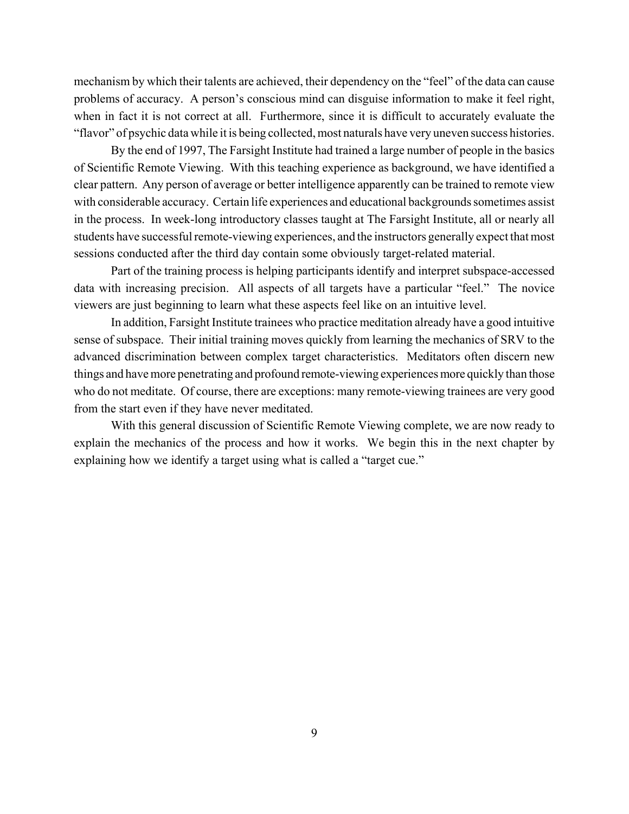mechanism by which their talents are achieved, their dependency on the "feel" of the data can cause problems of accuracy. A person's conscious mind can disguise information to make it feel right, when in fact it is not correct at all. Furthermore, since it is difficult to accurately evaluate the "flavor" of psychic data while it is being collected, most naturals have very uneven success histories.

By the end of 1997, The Farsight Institute had trained a large number of people in the basics of Scientific Remote Viewing. With this teaching experience as background, we have identified a clear pattern. Any person of average or better intelligence apparently can be trained to remote view with considerable accuracy. Certain life experiences and educational backgrounds sometimes assist in the process. In week-long introductory classes taught at The Farsight Institute, all or nearly all students have successful remote-viewing experiences, and the instructors generally expect that most sessions conducted after the third day contain some obviously target-related material.

Part of the training process is helping participants identify and interpret subspace-accessed data with increasing precision. All aspects of all targets have a particular "feel." The novice viewers are just beginning to learn what these aspects feel like on an intuitive level.

In addition, Farsight Institute trainees who practice meditation already have a good intuitive sense of subspace. Their initial training moves quickly from learning the mechanics of SRV to the advanced discrimination between complex target characteristics. Meditators often discern new things and have more penetrating and profound remote-viewing experiences more quickly than those who do not meditate. Of course, there are exceptions: many remote-viewing trainees are very good from the start even if they have never meditated.

With this general discussion of Scientific Remote Viewing complete, we are now ready to explain the mechanics of the process and how it works. We begin this in the next chapter by explaining how we identify a target using what is called a "target cue."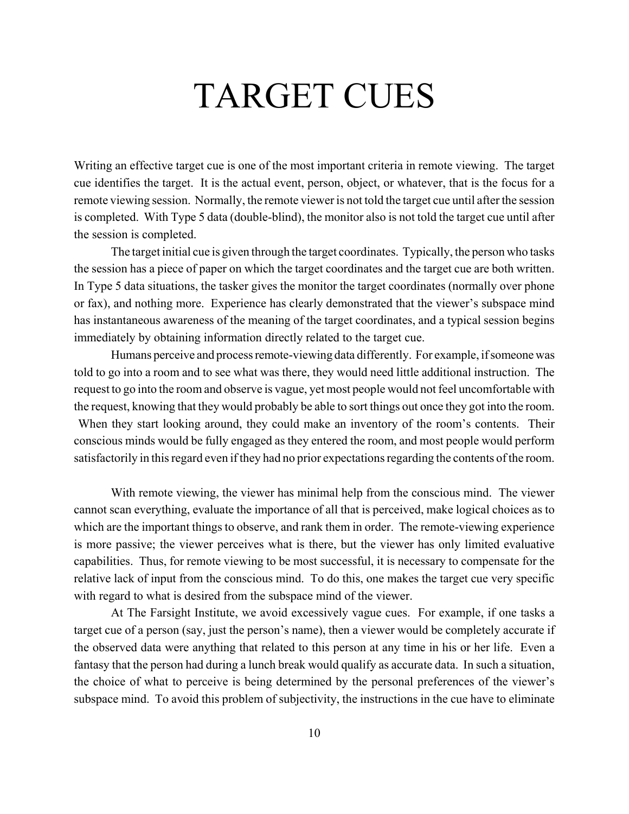# TARGET CUES

Writing an effective target cue is one of the most important criteria in remote viewing. The target cue identifies the target. It is the actual event, person, object, or whatever, that is the focus for a remote viewing session. Normally, the remote viewer is not told the target cue until after the session is completed. With Type 5 data (double-blind), the monitor also is not told the target cue until after the session is completed.

The target initial cue is given through the target coordinates. Typically, the person who tasks the session has a piece of paper on which the target coordinates and the target cue are both written. In Type 5 data situations, the tasker gives the monitor the target coordinates (normally over phone or fax), and nothing more. Experience has clearly demonstrated that the viewer's subspace mind has instantaneous awareness of the meaning of the target coordinates, and a typical session begins immediately by obtaining information directly related to the target cue.

Humans perceive and process remote-viewing data differently. For example, if someone was told to go into a room and to see what was there, they would need little additional instruction. The request to go into the room and observe is vague, yet most people would not feel uncomfortable with the request, knowing that they would probably be able to sort things out once they got into the room. When they start looking around, they could make an inventory of the room's contents. Their conscious minds would be fully engaged as they entered the room, and most people would perform satisfactorily in this regard even if they had no prior expectations regarding the contents of the room.

With remote viewing, the viewer has minimal help from the conscious mind. The viewer cannot scan everything, evaluate the importance of all that is perceived, make logical choices as to which are the important things to observe, and rank them in order. The remote-viewing experience is more passive; the viewer perceives what is there, but the viewer has only limited evaluative capabilities. Thus, for remote viewing to be most successful, it is necessary to compensate for the relative lack of input from the conscious mind. To do this, one makes the target cue very specific with regard to what is desired from the subspace mind of the viewer.

At The Farsight Institute, we avoid excessively vague cues. For example, if one tasks a target cue of a person (say, just the person's name), then a viewer would be completely accurate if the observed data were anything that related to this person at any time in his or her life. Even a fantasy that the person had during a lunch break would qualify as accurate data. In such a situation, the choice of what to perceive is being determined by the personal preferences of the viewer's subspace mind. To avoid this problem of subjectivity, the instructions in the cue have to eliminate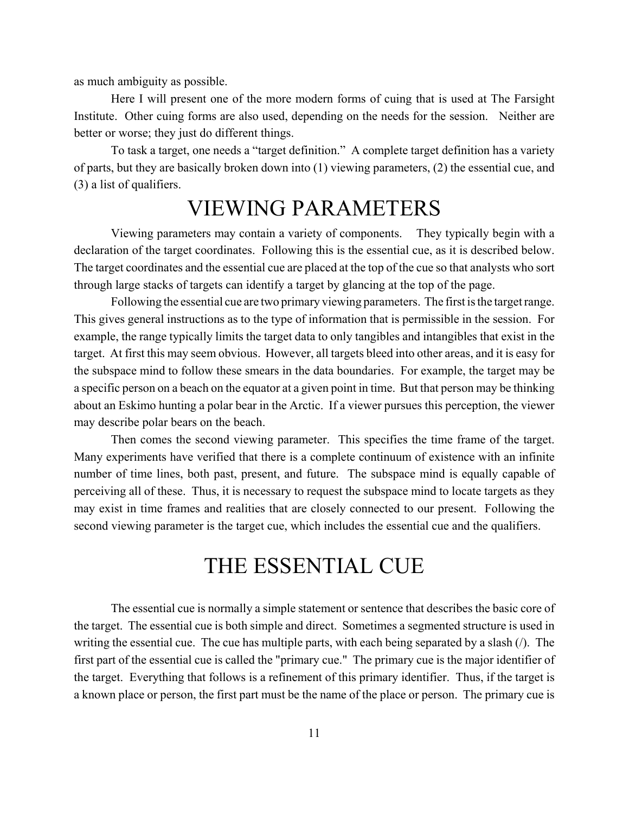as much ambiguity as possible.

Here I will present one of the more modern forms of cuing that is used at The Farsight Institute. Other cuing forms are also used, depending on the needs for the session. Neither are better or worse; they just do different things.

To task a target, one needs a "target definition." A complete target definition has a variety of parts, but they are basically broken down into (1) viewing parameters, (2) the essential cue, and (3) a list of qualifiers.

## VIEWING PARAMETERS

Viewing parameters may contain a variety of components. They typically begin with a declaration of the target coordinates. Following this is the essential cue, as it is described below. The target coordinates and the essential cue are placed at the top of the cue so that analysts who sort through large stacks of targets can identify a target by glancing at the top of the page.

Following the essential cue are two primary viewing parameters. The first is the target range. This gives general instructions as to the type of information that is permissible in the session. For example, the range typically limits the target data to only tangibles and intangibles that exist in the target. At first this may seem obvious. However, all targets bleed into other areas, and it is easy for the subspace mind to follow these smears in the data boundaries. For example, the target may be a specific person on a beach on the equator at a given point in time. But that person may be thinking about an Eskimo hunting a polar bear in the Arctic. If a viewer pursues this perception, the viewer may describe polar bears on the beach.

Then comes the second viewing parameter. This specifies the time frame of the target. Many experiments have verified that there is a complete continuum of existence with an infinite number of time lines, both past, present, and future. The subspace mind is equally capable of perceiving all of these. Thus, it is necessary to request the subspace mind to locate targets as they may exist in time frames and realities that are closely connected to our present. Following the second viewing parameter is the target cue, which includes the essential cue and the qualifiers.

## THE ESSENTIAL CUE

The essential cue is normally a simple statement or sentence that describes the basic core of the target. The essential cue is both simple and direct. Sometimes a segmented structure is used in writing the essential cue. The cue has multiple parts, with each being separated by a slash (/). The first part of the essential cue is called the "primary cue." The primary cue is the major identifier of the target. Everything that follows is a refinement of this primary identifier. Thus, if the target is a known place or person, the first part must be the name of the place or person. The primary cue is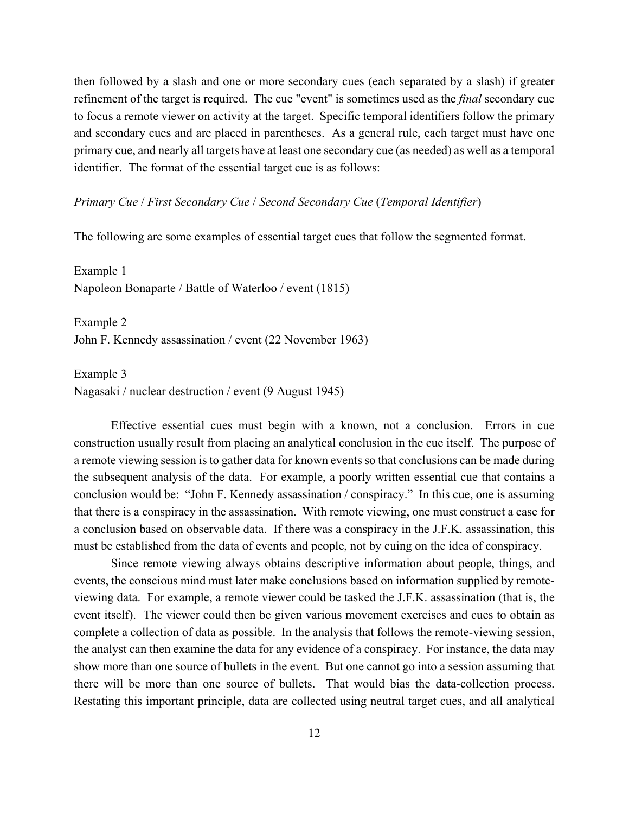then followed by a slash and one or more secondary cues (each separated by a slash) if greater refinement of the target is required. The cue "event" is sometimes used as the *final* secondary cue to focus a remote viewer on activity at the target. Specific temporal identifiers follow the primary and secondary cues and are placed in parentheses. As a general rule, each target must have one primary cue, and nearly all targets have at least one secondary cue (as needed) as well as a temporal identifier. The format of the essential target cue is as follows:

#### *Primary Cue* / *First Secondary Cue* / *Second Secondary Cue* (*Temporal Identifier*)

The following are some examples of essential target cues that follow the segmented format.

Example 1 Napoleon Bonaparte / Battle of Waterloo / event (1815)

Example 2 John F. Kennedy assassination / event (22 November 1963)

Example 3 Nagasaki / nuclear destruction / event (9 August 1945)

Effective essential cues must begin with a known, not a conclusion. Errors in cue construction usually result from placing an analytical conclusion in the cue itself. The purpose of a remote viewing session is to gather data for known events so that conclusions can be made during the subsequent analysis of the data. For example, a poorly written essential cue that contains a conclusion would be: "John F. Kennedy assassination / conspiracy." In this cue, one is assuming that there is a conspiracy in the assassination. With remote viewing, one must construct a case for a conclusion based on observable data. If there was a conspiracy in the J.F.K. assassination, this must be established from the data of events and people, not by cuing on the idea of conspiracy.

Since remote viewing always obtains descriptive information about people, things, and events, the conscious mind must later make conclusions based on information supplied by remoteviewing data. For example, a remote viewer could be tasked the J.F.K. assassination (that is, the event itself). The viewer could then be given various movement exercises and cues to obtain as complete a collection of data as possible. In the analysis that follows the remote-viewing session, the analyst can then examine the data for any evidence of a conspiracy. For instance, the data may show more than one source of bullets in the event. But one cannot go into a session assuming that there will be more than one source of bullets. That would bias the data-collection process. Restating this important principle, data are collected using neutral target cues, and all analytical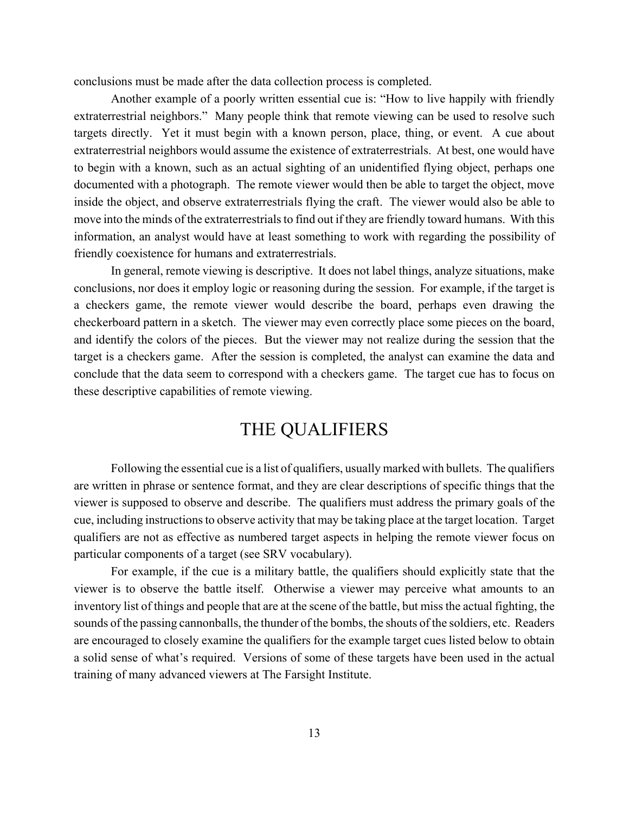conclusions must be made after the data collection process is completed.

Another example of a poorly written essential cue is: "How to live happily with friendly extraterrestrial neighbors." Many people think that remote viewing can be used to resolve such targets directly. Yet it must begin with a known person, place, thing, or event. A cue about extraterrestrial neighbors would assume the existence of extraterrestrials. At best, one would have to begin with a known, such as an actual sighting of an unidentified flying object, perhaps one documented with a photograph. The remote viewer would then be able to target the object, move inside the object, and observe extraterrestrials flying the craft. The viewer would also be able to move into the minds of the extraterrestrials to find out if they are friendly toward humans. With this information, an analyst would have at least something to work with regarding the possibility of friendly coexistence for humans and extraterrestrials.

In general, remote viewing is descriptive. It does not label things, analyze situations, make conclusions, nor does it employ logic or reasoning during the session. For example, if the target is a checkers game, the remote viewer would describe the board, perhaps even drawing the checkerboard pattern in a sketch. The viewer may even correctly place some pieces on the board, and identify the colors of the pieces. But the viewer may not realize during the session that the target is a checkers game. After the session is completed, the analyst can examine the data and conclude that the data seem to correspond with a checkers game. The target cue has to focus on these descriptive capabilities of remote viewing.

## THE QUALIFIERS

Following the essential cue is a list of qualifiers, usually marked with bullets. The qualifiers are written in phrase or sentence format, and they are clear descriptions of specific things that the viewer is supposed to observe and describe. The qualifiers must address the primary goals of the cue, including instructions to observe activity that may be taking place at the target location. Target qualifiers are not as effective as numbered target aspects in helping the remote viewer focus on particular components of a target (see SRV vocabulary).

For example, if the cue is a military battle, the qualifiers should explicitly state that the viewer is to observe the battle itself. Otherwise a viewer may perceive what amounts to an inventory list of things and people that are at the scene of the battle, but miss the actual fighting, the sounds of the passing cannonballs, the thunder of the bombs, the shouts of the soldiers, etc. Readers are encouraged to closely examine the qualifiers for the example target cues listed below to obtain a solid sense of what's required. Versions of some of these targets have been used in the actual training of many advanced viewers at The Farsight Institute.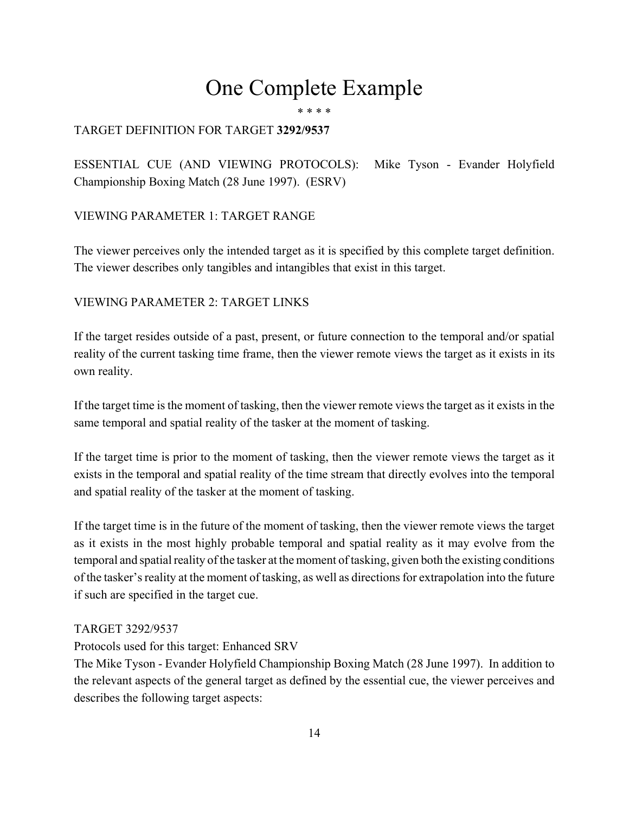# One Complete Example

\* \* \* \*

#### TARGET DEFINITION FOR TARGET **3292/9537**

ESSENTIAL CUE (AND VIEWING PROTOCOLS): Mike Tyson - Evander Holyfield Championship Boxing Match (28 June 1997). (ESRV)

#### VIEWING PARAMETER 1: TARGET RANGE

The viewer perceives only the intended target as it is specified by this complete target definition. The viewer describes only tangibles and intangibles that exist in this target.

#### VIEWING PARAMETER 2: TARGET LINKS

If the target resides outside of a past, present, or future connection to the temporal and/or spatial reality of the current tasking time frame, then the viewer remote views the target as it exists in its own reality.

If the target time is the moment of tasking, then the viewer remote views the target as it exists in the same temporal and spatial reality of the tasker at the moment of tasking.

If the target time is prior to the moment of tasking, then the viewer remote views the target as it exists in the temporal and spatial reality of the time stream that directly evolves into the temporal and spatial reality of the tasker at the moment of tasking.

If the target time is in the future of the moment of tasking, then the viewer remote views the target as it exists in the most highly probable temporal and spatial reality as it may evolve from the temporal and spatial reality of the tasker at the moment of tasking, given both the existing conditions of the tasker's reality at the moment of tasking, as well as directions for extrapolation into the future if such are specified in the target cue.

#### TARGET 3292/9537

Protocols used for this target: Enhanced SRV

The Mike Tyson - Evander Holyfield Championship Boxing Match (28 June 1997). In addition to the relevant aspects of the general target as defined by the essential cue, the viewer perceives and describes the following target aspects: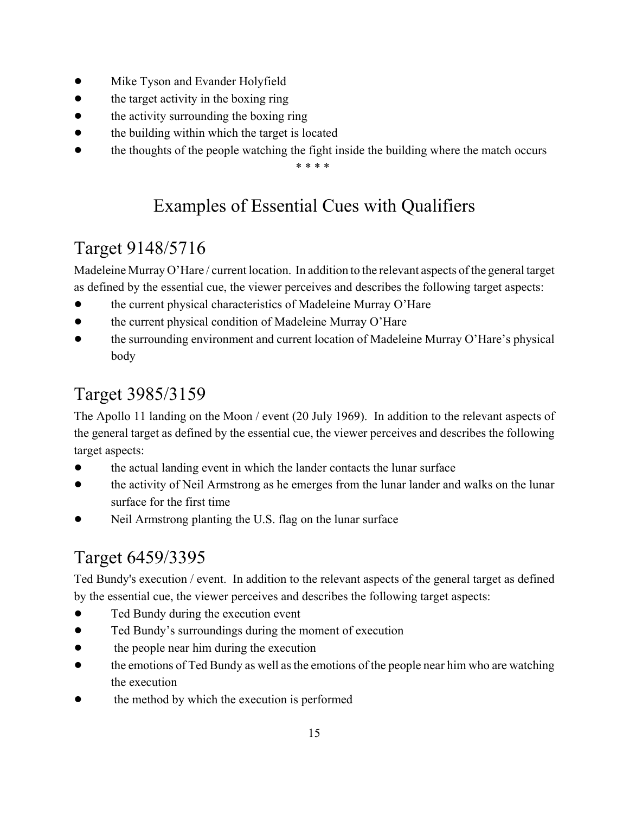- Mike Tyson and Evander Holyfield
- the target activity in the boxing ring
- the activity surrounding the boxing ring
- the building within which the target is located
- the thoughts of the people watching the fight inside the building where the match occurs

\* \* \* \*

# Examples of Essential Cues with Qualifiers

## Target 9148/5716

Madeleine Murray O'Hare / current location. In addition to the relevant aspects of the general target as defined by the essential cue, the viewer perceives and describes the following target aspects:

- the current physical characteristics of Madeleine Murray O'Hare
- ! the current physical condition of Madeleine Murray O'Hare
- the surrounding environment and current location of Madeleine Murray O'Hare's physical body

## Target 3985/3159

The Apollo 11 landing on the Moon / event (20 July 1969). In addition to the relevant aspects of the general target as defined by the essential cue, the viewer perceives and describes the following target aspects:

- the actual landing event in which the lander contacts the lunar surface
- the activity of Neil Armstrong as he emerges from the lunar lander and walks on the lunar surface for the first time
- Neil Armstrong planting the U.S. flag on the lunar surface

# Target 6459/3395

Ted Bundy's execution / event. In addition to the relevant aspects of the general target as defined by the essential cue, the viewer perceives and describes the following target aspects:

- Ted Bundy during the execution event
- Ted Bundy's surroundings during the moment of execution
- the people near him during the execution
- ! the emotions of Ted Bundy as well as the emotions of the people near him who are watching the execution
- the method by which the execution is performed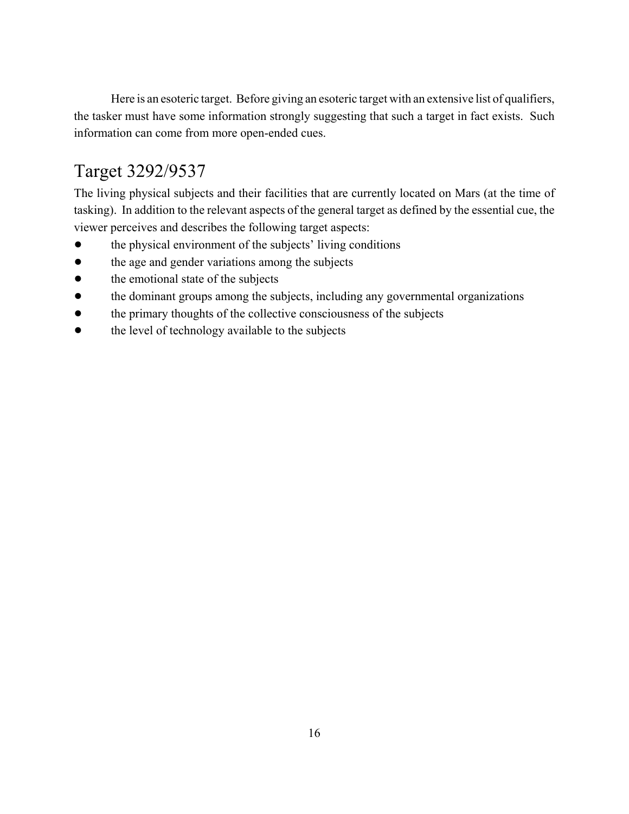Here is an esoteric target. Before giving an esoteric target with an extensive list of qualifiers, the tasker must have some information strongly suggesting that such a target in fact exists. Such information can come from more open-ended cues.

## Target 3292/9537

The living physical subjects and their facilities that are currently located on Mars (at the time of tasking). In addition to the relevant aspects of the general target as defined by the essential cue, the viewer perceives and describes the following target aspects:

- the physical environment of the subjects' living conditions
- the age and gender variations among the subjects
- the emotional state of the subjects
- ! the dominant groups among the subjects, including any governmental organizations
- the primary thoughts of the collective consciousness of the subjects
- the level of technology available to the subjects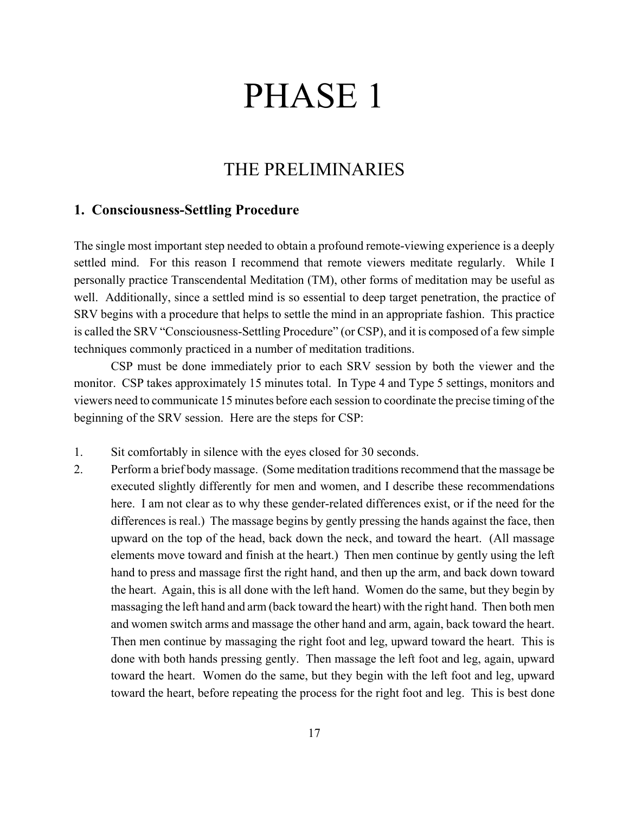# PHASE 1

## THE PRELIMINARIES

#### **1. Consciousness-Settling Procedure**

The single most important step needed to obtain a profound remote-viewing experience is a deeply settled mind. For this reason I recommend that remote viewers meditate regularly. While I personally practice Transcendental Meditation (TM), other forms of meditation may be useful as well. Additionally, since a settled mind is so essential to deep target penetration, the practice of SRV begins with a procedure that helps to settle the mind in an appropriate fashion. This practice is called the SRV "Consciousness-Settling Procedure" (or CSP), and it is composed of a few simple techniques commonly practiced in a number of meditation traditions.

CSP must be done immediately prior to each SRV session by both the viewer and the monitor. CSP takes approximately 15 minutes total. In Type 4 and Type 5 settings, monitors and viewers need to communicate 15 minutes before each session to coordinate the precise timing of the beginning of the SRV session. Here are the steps for CSP:

- 1. Sit comfortably in silence with the eyes closed for 30 seconds.
- 2. Perform a brief body massage. (Some meditation traditions recommend that the massage be executed slightly differently for men and women, and I describe these recommendations here. I am not clear as to why these gender-related differences exist, or if the need for the differences is real.) The massage begins by gently pressing the hands against the face, then upward on the top of the head, back down the neck, and toward the heart. (All massage elements move toward and finish at the heart.) Then men continue by gently using the left hand to press and massage first the right hand, and then up the arm, and back down toward the heart. Again, this is all done with the left hand. Women do the same, but they begin by massaging the left hand and arm (back toward the heart) with the right hand. Then both men and women switch arms and massage the other hand and arm, again, back toward the heart. Then men continue by massaging the right foot and leg, upward toward the heart. This is done with both hands pressing gently. Then massage the left foot and leg, again, upward toward the heart. Women do the same, but they begin with the left foot and leg, upward toward the heart, before repeating the process for the right foot and leg. This is best done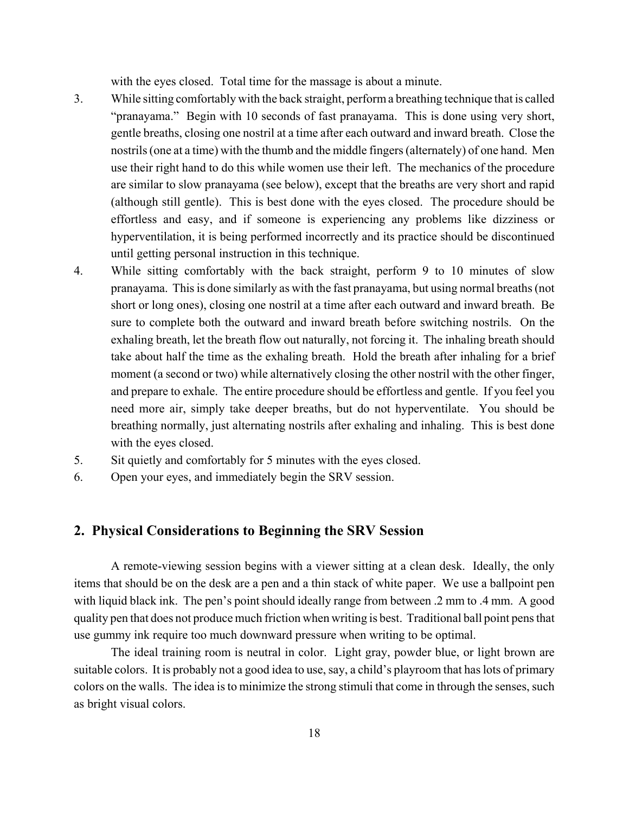with the eyes closed. Total time for the massage is about a minute.

- 3. While sitting comfortably with the back straight, perform a breathing technique that is called "pranayama." Begin with 10 seconds of fast pranayama. This is done using very short, gentle breaths, closing one nostril at a time after each outward and inward breath. Close the nostrils (one at a time) with the thumb and the middle fingers (alternately) of one hand. Men use their right hand to do this while women use their left. The mechanics of the procedure are similar to slow pranayama (see below), except that the breaths are very short and rapid (although still gentle). This is best done with the eyes closed. The procedure should be effortless and easy, and if someone is experiencing any problems like dizziness or hyperventilation, it is being performed incorrectly and its practice should be discontinued until getting personal instruction in this technique.
- 4. While sitting comfortably with the back straight, perform 9 to 10 minutes of slow pranayama. This is done similarly as with the fast pranayama, but using normal breaths (not short or long ones), closing one nostril at a time after each outward and inward breath. Be sure to complete both the outward and inward breath before switching nostrils. On the exhaling breath, let the breath flow out naturally, not forcing it. The inhaling breath should take about half the time as the exhaling breath. Hold the breath after inhaling for a brief moment (a second or two) while alternatively closing the other nostril with the other finger, and prepare to exhale. The entire procedure should be effortless and gentle. If you feel you need more air, simply take deeper breaths, but do not hyperventilate. You should be breathing normally, just alternating nostrils after exhaling and inhaling. This is best done with the eyes closed.
- 5. Sit quietly and comfortably for 5 minutes with the eyes closed.
- 6. Open your eyes, and immediately begin the SRV session.

#### **2. Physical Considerations to Beginning the SRV Session**

A remote-viewing session begins with a viewer sitting at a clean desk. Ideally, the only items that should be on the desk are a pen and a thin stack of white paper. We use a ballpoint pen with liquid black ink. The pen's point should ideally range from between .2 mm to .4 mm. A good quality pen that does not produce much friction when writing is best. Traditional ball point pens that use gummy ink require too much downward pressure when writing to be optimal.

The ideal training room is neutral in color. Light gray, powder blue, or light brown are suitable colors. It is probably not a good idea to use, say, a child's playroom that has lots of primary colors on the walls. The idea is to minimize the strong stimuli that come in through the senses, such as bright visual colors.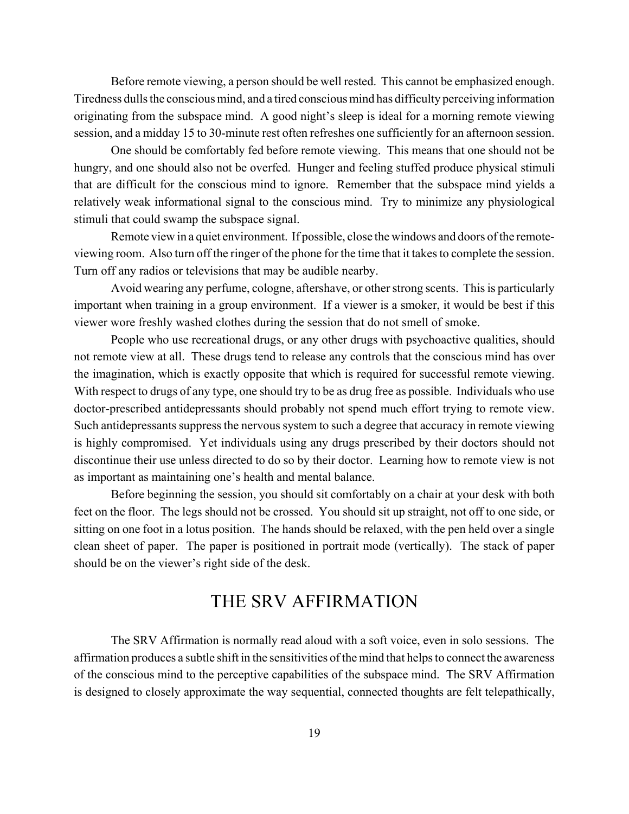Before remote viewing, a person should be well rested. This cannot be emphasized enough. Tiredness dulls the conscious mind, and a tired conscious mind has difficulty perceiving information originating from the subspace mind. A good night's sleep is ideal for a morning remote viewing session, and a midday 15 to 30-minute rest often refreshes one sufficiently for an afternoon session.

One should be comfortably fed before remote viewing. This means that one should not be hungry, and one should also not be overfed. Hunger and feeling stuffed produce physical stimuli that are difficult for the conscious mind to ignore. Remember that the subspace mind yields a relatively weak informational signal to the conscious mind. Try to minimize any physiological stimuli that could swamp the subspace signal.

Remote view in a quiet environment. If possible, close the windows and doors of the remoteviewing room. Also turn off the ringer of the phone for the time that it takes to complete the session. Turn off any radios or televisions that may be audible nearby.

Avoid wearing any perfume, cologne, aftershave, or other strong scents. This is particularly important when training in a group environment. If a viewer is a smoker, it would be best if this viewer wore freshly washed clothes during the session that do not smell of smoke.

People who use recreational drugs, or any other drugs with psychoactive qualities, should not remote view at all. These drugs tend to release any controls that the conscious mind has over the imagination, which is exactly opposite that which is required for successful remote viewing. With respect to drugs of any type, one should try to be as drug free as possible. Individuals who use doctor-prescribed antidepressants should probably not spend much effort trying to remote view. Such antidepressants suppress the nervous system to such a degree that accuracy in remote viewing is highly compromised. Yet individuals using any drugs prescribed by their doctors should not discontinue their use unless directed to do so by their doctor. Learning how to remote view is not as important as maintaining one's health and mental balance.

Before beginning the session, you should sit comfortably on a chair at your desk with both feet on the floor. The legs should not be crossed. You should sit up straight, not off to one side, or sitting on one foot in a lotus position. The hands should be relaxed, with the pen held over a single clean sheet of paper. The paper is positioned in portrait mode (vertically). The stack of paper should be on the viewer's right side of the desk.

## THE SRV AFFIRMATION

The SRV Affirmation is normally read aloud with a soft voice, even in solo sessions. The affirmation produces a subtle shift in the sensitivities of the mind that helps to connect the awareness of the conscious mind to the perceptive capabilities of the subspace mind. The SRV Affirmation is designed to closely approximate the way sequential, connected thoughts are felt telepathically,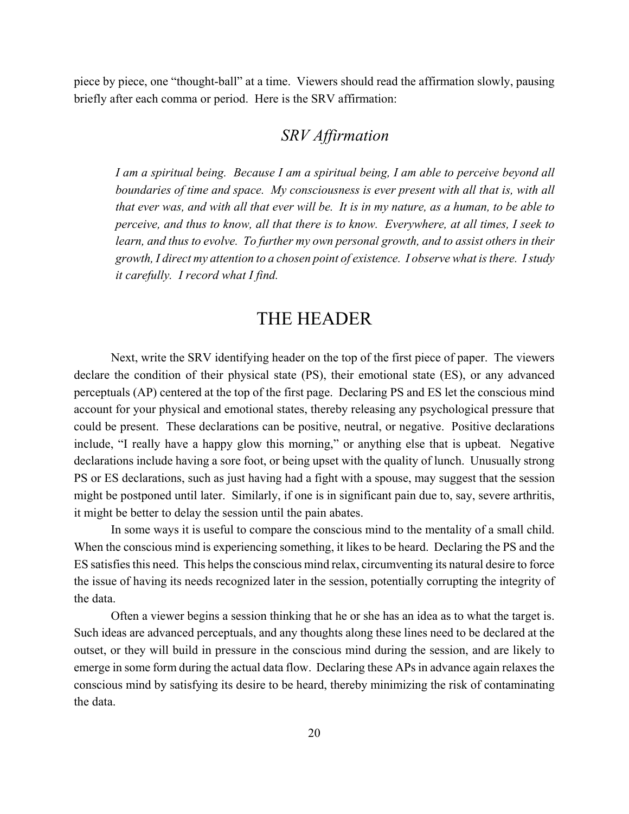piece by piece, one "thought-ball" at a time. Viewers should read the affirmation slowly, pausing briefly after each comma or period. Here is the SRV affirmation:

## *SRV Affirmation*

*I am a spiritual being. Because I am a spiritual being, I am able to perceive beyond all boundaries of time and space. My consciousness is ever present with all that is, with all that ever was, and with all that ever will be. It is in my nature, as a human, to be able to perceive, and thus to know, all that there is to know. Everywhere, at all times, I seek to learn, and thus to evolve. To further my own personal growth, and to assist others in their growth, I direct my attention to a chosen point of existence. I observe what is there. I study it carefully. I record what I find.* 

### THE HEADER

Next, write the SRV identifying header on the top of the first piece of paper. The viewers declare the condition of their physical state (PS), their emotional state (ES), or any advanced perceptuals (AP) centered at the top of the first page. Declaring PS and ES let the conscious mind account for your physical and emotional states, thereby releasing any psychological pressure that could be present. These declarations can be positive, neutral, or negative. Positive declarations include, "I really have a happy glow this morning," or anything else that is upbeat. Negative declarations include having a sore foot, or being upset with the quality of lunch. Unusually strong PS or ES declarations, such as just having had a fight with a spouse, may suggest that the session might be postponed until later. Similarly, if one is in significant pain due to, say, severe arthritis, it might be better to delay the session until the pain abates.

In some ways it is useful to compare the conscious mind to the mentality of a small child. When the conscious mind is experiencing something, it likes to be heard. Declaring the PS and the ES satisfies this need. This helps the conscious mind relax, circumventing its natural desire to force the issue of having its needs recognized later in the session, potentially corrupting the integrity of the data.

Often a viewer begins a session thinking that he or she has an idea as to what the target is. Such ideas are advanced perceptuals, and any thoughts along these lines need to be declared at the outset, or they will build in pressure in the conscious mind during the session, and are likely to emerge in some form during the actual data flow. Declaring these APs in advance again relaxes the conscious mind by satisfying its desire to be heard, thereby minimizing the risk of contaminating the data.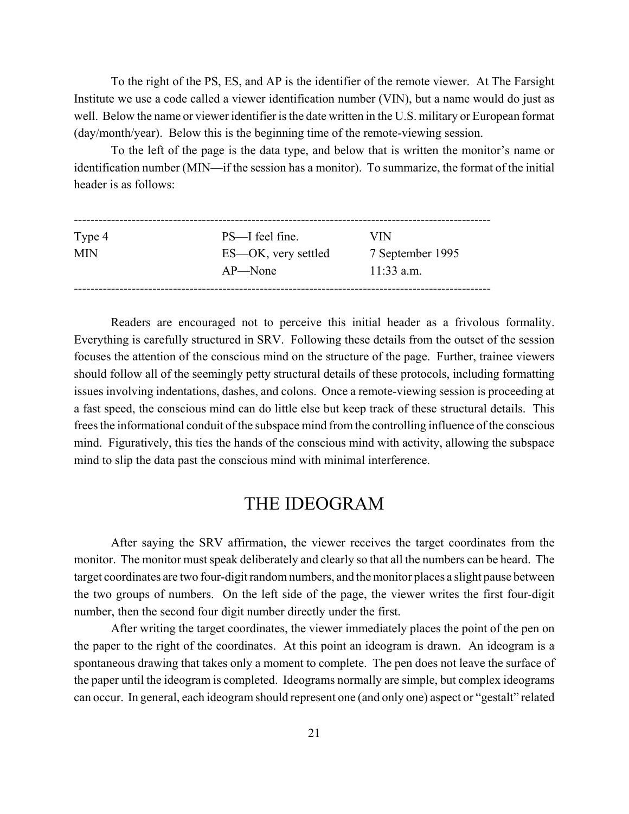To the right of the PS, ES, and AP is the identifier of the remote viewer. At The Farsight Institute we use a code called a viewer identification number (VIN), but a name would do just as well. Below the name or viewer identifier is the date written in the U.S. military or European format (day/month/year). Below this is the beginning time of the remote-viewing session.

To the left of the page is the data type, and below that is written the monitor's name or identification number (MIN—if the session has a monitor). To summarize, the format of the initial header is as follows:

| Type 4     | PS—I feel fine.     | VIN              |
|------------|---------------------|------------------|
| <b>MIN</b> | ES—OK, very settled | 7 September 1995 |
|            | $AP$ —None          | $11:33$ a.m.     |
|            |                     |                  |

Readers are encouraged not to perceive this initial header as a frivolous formality. Everything is carefully structured in SRV. Following these details from the outset of the session focuses the attention of the conscious mind on the structure of the page. Further, trainee viewers should follow all of the seemingly petty structural details of these protocols, including formatting issues involving indentations, dashes, and colons. Once a remote-viewing session is proceeding at a fast speed, the conscious mind can do little else but keep track of these structural details. This frees the informational conduit of the subspace mind from the controlling influence of the conscious mind. Figuratively, this ties the hands of the conscious mind with activity, allowing the subspace mind to slip the data past the conscious mind with minimal interference.

### THE IDEOGRAM

After saying the SRV affirmation, the viewer receives the target coordinates from the monitor. The monitor must speak deliberately and clearly so that all the numbers can be heard. The target coordinates are two four-digit random numbers, and the monitor places a slight pause between the two groups of numbers. On the left side of the page, the viewer writes the first four-digit number, then the second four digit number directly under the first.

After writing the target coordinates, the viewer immediately places the point of the pen on the paper to the right of the coordinates. At this point an ideogram is drawn. An ideogram is a spontaneous drawing that takes only a moment to complete. The pen does not leave the surface of the paper until the ideogram is completed. Ideograms normally are simple, but complex ideograms can occur. In general, each ideogram should represent one (and only one) aspect or "gestalt" related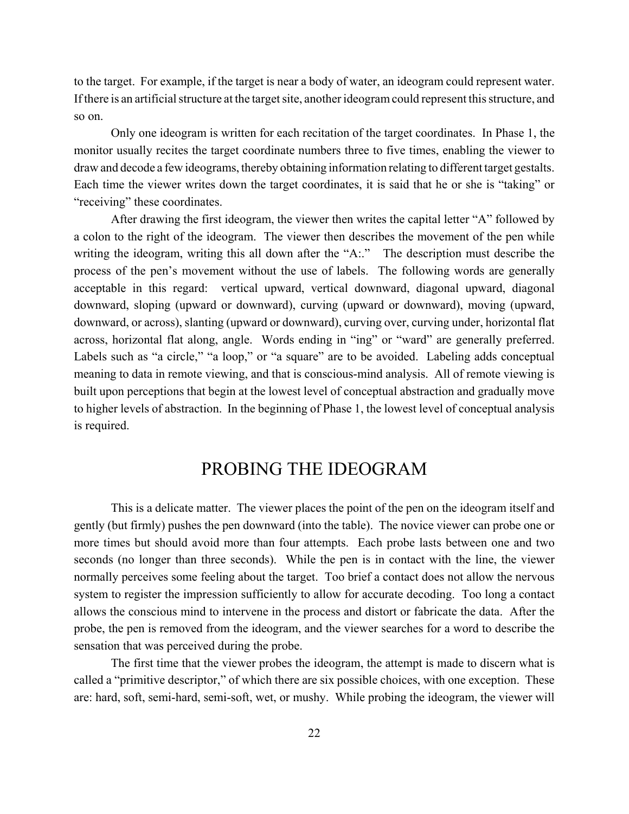to the target. For example, if the target is near a body of water, an ideogram could represent water. If there is an artificial structure at the target site, another ideogram could represent this structure, and so on.

Only one ideogram is written for each recitation of the target coordinates. In Phase 1, the monitor usually recites the target coordinate numbers three to five times, enabling the viewer to draw and decode a few ideograms, thereby obtaining information relating to different target gestalts. Each time the viewer writes down the target coordinates, it is said that he or she is "taking" or "receiving" these coordinates.

After drawing the first ideogram, the viewer then writes the capital letter "A" followed by a colon to the right of the ideogram. The viewer then describes the movement of the pen while writing the ideogram, writing this all down after the "A:." The description must describe the process of the pen's movement without the use of labels. The following words are generally acceptable in this regard: vertical upward, vertical downward, diagonal upward, diagonal downward, sloping (upward or downward), curving (upward or downward), moving (upward, downward, or across), slanting (upward or downward), curving over, curving under, horizontal flat across, horizontal flat along, angle. Words ending in "ing" or "ward" are generally preferred. Labels such as "a circle," "a loop," or "a square" are to be avoided. Labeling adds conceptual meaning to data in remote viewing, and that is conscious-mind analysis. All of remote viewing is built upon perceptions that begin at the lowest level of conceptual abstraction and gradually move to higher levels of abstraction. In the beginning of Phase 1, the lowest level of conceptual analysis is required.

### PROBING THE IDEOGRAM

This is a delicate matter. The viewer places the point of the pen on the ideogram itself and gently (but firmly) pushes the pen downward (into the table). The novice viewer can probe one or more times but should avoid more than four attempts. Each probe lasts between one and two seconds (no longer than three seconds). While the pen is in contact with the line, the viewer normally perceives some feeling about the target. Too brief a contact does not allow the nervous system to register the impression sufficiently to allow for accurate decoding. Too long a contact allows the conscious mind to intervene in the process and distort or fabricate the data. After the probe, the pen is removed from the ideogram, and the viewer searches for a word to describe the sensation that was perceived during the probe.

The first time that the viewer probes the ideogram, the attempt is made to discern what is called a "primitive descriptor," of which there are six possible choices, with one exception. These are: hard, soft, semi-hard, semi-soft, wet, or mushy. While probing the ideogram, the viewer will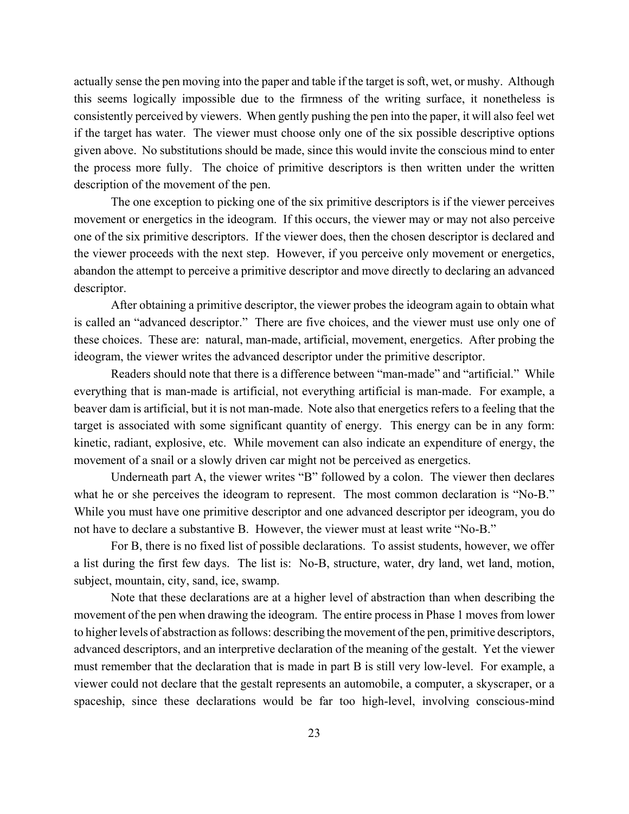actually sense the pen moving into the paper and table if the target is soft, wet, or mushy. Although this seems logically impossible due to the firmness of the writing surface, it nonetheless is consistently perceived by viewers. When gently pushing the pen into the paper, it will also feel wet if the target has water. The viewer must choose only one of the six possible descriptive options given above. No substitutions should be made, since this would invite the conscious mind to enter the process more fully. The choice of primitive descriptors is then written under the written description of the movement of the pen.

The one exception to picking one of the six primitive descriptors is if the viewer perceives movement or energetics in the ideogram. If this occurs, the viewer may or may not also perceive one of the six primitive descriptors. If the viewer does, then the chosen descriptor is declared and the viewer proceeds with the next step. However, if you perceive only movement or energetics, abandon the attempt to perceive a primitive descriptor and move directly to declaring an advanced descriptor.

After obtaining a primitive descriptor, the viewer probes the ideogram again to obtain what is called an "advanced descriptor." There are five choices, and the viewer must use only one of these choices. These are: natural, man-made, artificial, movement, energetics. After probing the ideogram, the viewer writes the advanced descriptor under the primitive descriptor.

Readers should note that there is a difference between "man-made" and "artificial." While everything that is man-made is artificial, not everything artificial is man-made. For example, a beaver dam is artificial, but it is not man-made. Note also that energetics refers to a feeling that the target is associated with some significant quantity of energy. This energy can be in any form: kinetic, radiant, explosive, etc. While movement can also indicate an expenditure of energy, the movement of a snail or a slowly driven car might not be perceived as energetics.

Underneath part A, the viewer writes "B" followed by a colon. The viewer then declares what he or she perceives the ideogram to represent. The most common declaration is "No-B." While you must have one primitive descriptor and one advanced descriptor per ideogram, you do not have to declare a substantive B. However, the viewer must at least write "No-B."

For B, there is no fixed list of possible declarations. To assist students, however, we offer a list during the first few days. The list is: No-B, structure, water, dry land, wet land, motion, subject, mountain, city, sand, ice, swamp.

Note that these declarations are at a higher level of abstraction than when describing the movement of the pen when drawing the ideogram. The entire process in Phase 1 moves from lower to higher levels of abstraction as follows: describing the movement of the pen, primitive descriptors, advanced descriptors, and an interpretive declaration of the meaning of the gestalt. Yet the viewer must remember that the declaration that is made in part B is still very low-level. For example, a viewer could not declare that the gestalt represents an automobile, a computer, a skyscraper, or a spaceship, since these declarations would be far too high-level, involving conscious-mind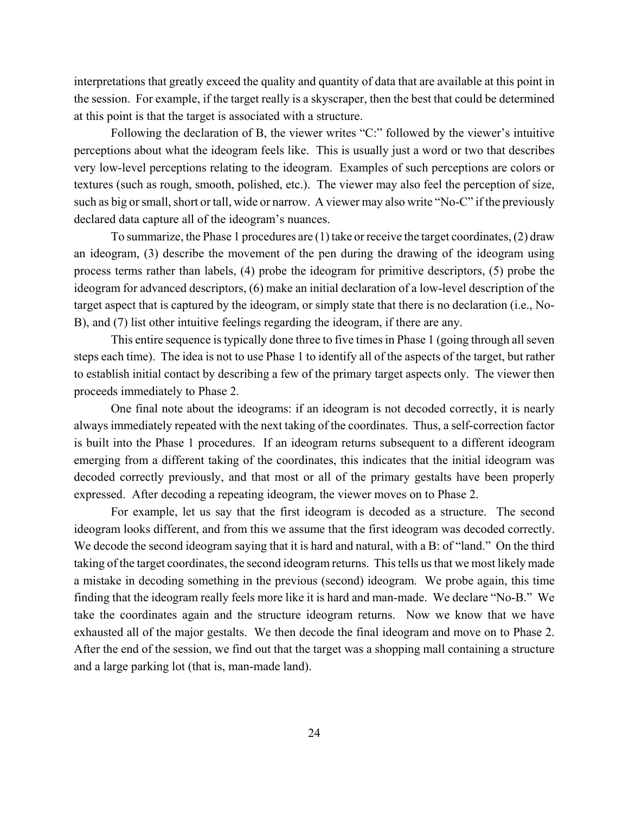interpretations that greatly exceed the quality and quantity of data that are available at this point in the session. For example, if the target really is a skyscraper, then the best that could be determined at this point is that the target is associated with a structure.

Following the declaration of B, the viewer writes "C:" followed by the viewer's intuitive perceptions about what the ideogram feels like. This is usually just a word or two that describes very low-level perceptions relating to the ideogram. Examples of such perceptions are colors or textures (such as rough, smooth, polished, etc.). The viewer may also feel the perception of size, such as big or small, short or tall, wide or narrow. A viewer may also write "No-C" if the previously declared data capture all of the ideogram's nuances.

To summarize, the Phase 1 procedures are (1) take or receive the target coordinates, (2) draw an ideogram, (3) describe the movement of the pen during the drawing of the ideogram using process terms rather than labels, (4) probe the ideogram for primitive descriptors, (5) probe the ideogram for advanced descriptors, (6) make an initial declaration of a low-level description of the target aspect that is captured by the ideogram, or simply state that there is no declaration (i.e., No-B), and (7) list other intuitive feelings regarding the ideogram, if there are any.

This entire sequence is typically done three to five times in Phase 1 (going through all seven steps each time). The idea is not to use Phase 1 to identify all of the aspects of the target, but rather to establish initial contact by describing a few of the primary target aspects only. The viewer then proceeds immediately to Phase 2.

One final note about the ideograms: if an ideogram is not decoded correctly, it is nearly always immediately repeated with the next taking of the coordinates. Thus, a self-correction factor is built into the Phase 1 procedures. If an ideogram returns subsequent to a different ideogram emerging from a different taking of the coordinates, this indicates that the initial ideogram was decoded correctly previously, and that most or all of the primary gestalts have been properly expressed. After decoding a repeating ideogram, the viewer moves on to Phase 2.

For example, let us say that the first ideogram is decoded as a structure. The second ideogram looks different, and from this we assume that the first ideogram was decoded correctly. We decode the second ideogram saying that it is hard and natural, with a B: of "land." On the third taking of the target coordinates, the second ideogram returns. This tells us that we most likely made a mistake in decoding something in the previous (second) ideogram. We probe again, this time finding that the ideogram really feels more like it is hard and man-made. We declare "No-B." We take the coordinates again and the structure ideogram returns. Now we know that we have exhausted all of the major gestalts. We then decode the final ideogram and move on to Phase 2. After the end of the session, we find out that the target was a shopping mall containing a structure and a large parking lot (that is, man-made land).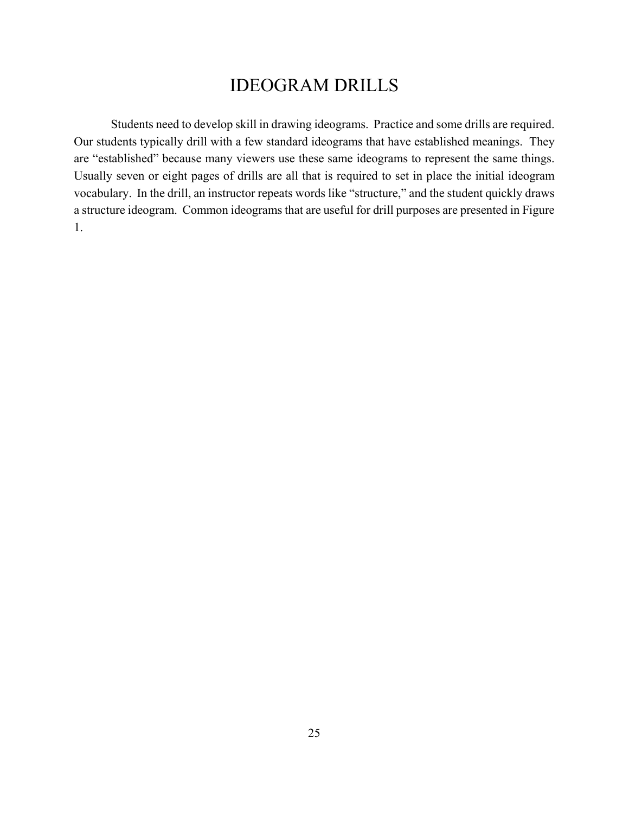## IDEOGRAM DRILLS

Students need to develop skill in drawing ideograms. Practice and some drills are required. Our students typically drill with a few standard ideograms that have established meanings. They are "established" because many viewers use these same ideograms to represent the same things. Usually seven or eight pages of drills are all that is required to set in place the initial ideogram vocabulary. In the drill, an instructor repeats words like "structure," and the student quickly draws a structure ideogram. Common ideograms that are useful for drill purposes are presented in Figure 1.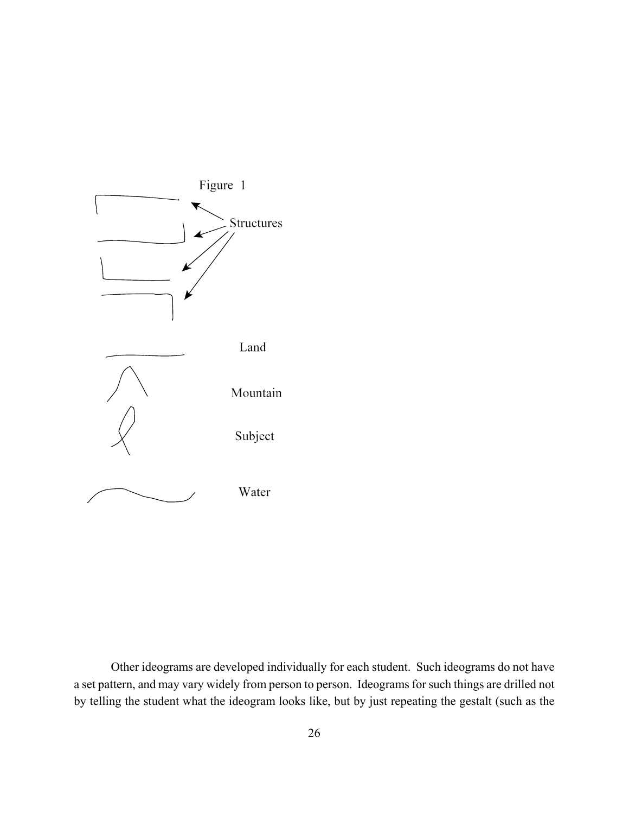

Other ideograms are developed individually for each student. Such ideograms do not have a set pattern, and may vary widely from person to person. Ideograms for such things are drilled not by telling the student what the ideogram looks like, but by just repeating the gestalt (such as the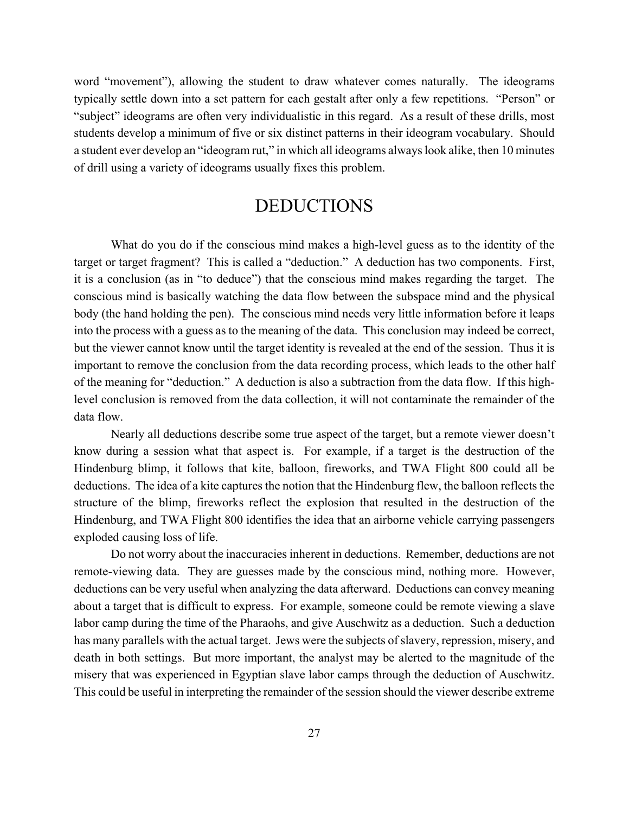word "movement"), allowing the student to draw whatever comes naturally. The ideograms typically settle down into a set pattern for each gestalt after only a few repetitions. "Person" or "subject" ideograms are often very individualistic in this regard. As a result of these drills, most students develop a minimum of five or six distinct patterns in their ideogram vocabulary. Should a student ever develop an "ideogram rut," in which all ideograms always look alike, then 10 minutes of drill using a variety of ideograms usually fixes this problem.

## DEDUCTIONS

What do you do if the conscious mind makes a high-level guess as to the identity of the target or target fragment? This is called a "deduction." A deduction has two components. First, it is a conclusion (as in "to deduce") that the conscious mind makes regarding the target. The conscious mind is basically watching the data flow between the subspace mind and the physical body (the hand holding the pen). The conscious mind needs very little information before it leaps into the process with a guess as to the meaning of the data. This conclusion may indeed be correct, but the viewer cannot know until the target identity is revealed at the end of the session. Thus it is important to remove the conclusion from the data recording process, which leads to the other half of the meaning for "deduction." A deduction is also a subtraction from the data flow. If this highlevel conclusion is removed from the data collection, it will not contaminate the remainder of the data flow.

Nearly all deductions describe some true aspect of the target, but a remote viewer doesn't know during a session what that aspect is. For example, if a target is the destruction of the Hindenburg blimp, it follows that kite, balloon, fireworks, and TWA Flight 800 could all be deductions. The idea of a kite captures the notion that the Hindenburg flew, the balloon reflects the structure of the blimp, fireworks reflect the explosion that resulted in the destruction of the Hindenburg, and TWA Flight 800 identifies the idea that an airborne vehicle carrying passengers exploded causing loss of life.

Do not worry about the inaccuracies inherent in deductions. Remember, deductions are not remote-viewing data. They are guesses made by the conscious mind, nothing more. However, deductions can be very useful when analyzing the data afterward. Deductions can convey meaning about a target that is difficult to express. For example, someone could be remote viewing a slave labor camp during the time of the Pharaohs, and give Auschwitz as a deduction. Such a deduction has many parallels with the actual target. Jews were the subjects of slavery, repression, misery, and death in both settings. But more important, the analyst may be alerted to the magnitude of the misery that was experienced in Egyptian slave labor camps through the deduction of Auschwitz. This could be useful in interpreting the remainder of the session should the viewer describe extreme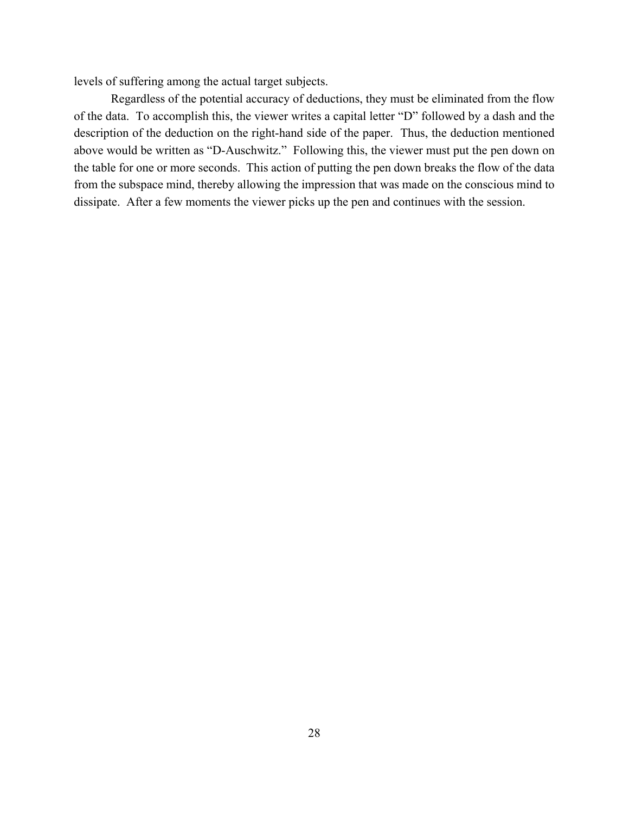levels of suffering among the actual target subjects.

Regardless of the potential accuracy of deductions, they must be eliminated from the flow of the data. To accomplish this, the viewer writes a capital letter "D" followed by a dash and the description of the deduction on the right-hand side of the paper. Thus, the deduction mentioned above would be written as "D-Auschwitz." Following this, the viewer must put the pen down on the table for one or more seconds. This action of putting the pen down breaks the flow of the data from the subspace mind, thereby allowing the impression that was made on the conscious mind to dissipate. After a few moments the viewer picks up the pen and continues with the session.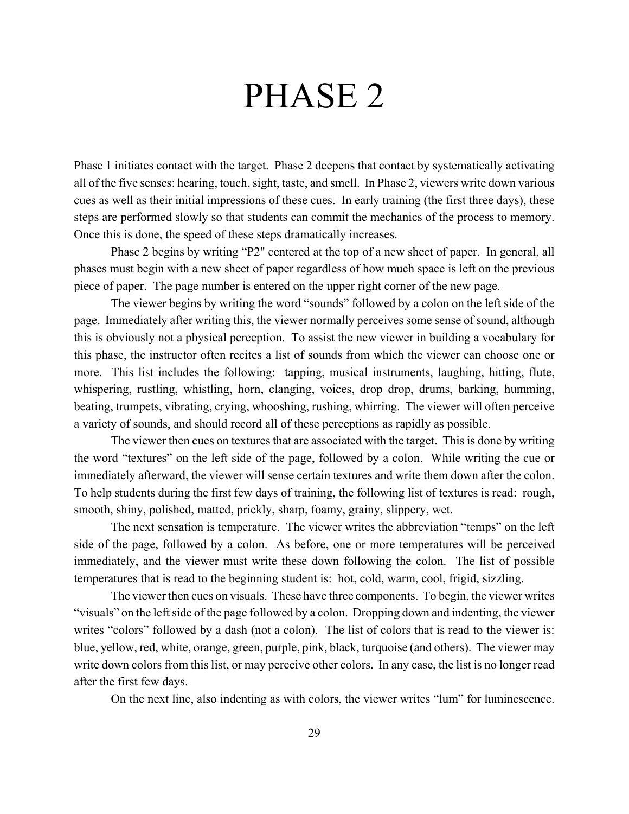# PHASE 2

Phase 1 initiates contact with the target. Phase 2 deepens that contact by systematically activating all of the five senses: hearing, touch, sight, taste, and smell. In Phase 2, viewers write down various cues as well as their initial impressions of these cues. In early training (the first three days), these steps are performed slowly so that students can commit the mechanics of the process to memory. Once this is done, the speed of these steps dramatically increases.

Phase 2 begins by writing "P2" centered at the top of a new sheet of paper. In general, all phases must begin with a new sheet of paper regardless of how much space is left on the previous piece of paper. The page number is entered on the upper right corner of the new page.

The viewer begins by writing the word "sounds" followed by a colon on the left side of the page. Immediately after writing this, the viewer normally perceives some sense of sound, although this is obviously not a physical perception. To assist the new viewer in building a vocabulary for this phase, the instructor often recites a list of sounds from which the viewer can choose one or more. This list includes the following: tapping, musical instruments, laughing, hitting, flute, whispering, rustling, whistling, horn, clanging, voices, drop drop, drums, barking, humming, beating, trumpets, vibrating, crying, whooshing, rushing, whirring. The viewer will often perceive a variety of sounds, and should record all of these perceptions as rapidly as possible.

The viewer then cues on textures that are associated with the target. This is done by writing the word "textures" on the left side of the page, followed by a colon. While writing the cue or immediately afterward, the viewer will sense certain textures and write them down after the colon. To help students during the first few days of training, the following list of textures is read: rough, smooth, shiny, polished, matted, prickly, sharp, foamy, grainy, slippery, wet.

The next sensation is temperature. The viewer writes the abbreviation "temps" on the left side of the page, followed by a colon. As before, one or more temperatures will be perceived immediately, and the viewer must write these down following the colon. The list of possible temperatures that is read to the beginning student is: hot, cold, warm, cool, frigid, sizzling.

The viewer then cues on visuals. These have three components. To begin, the viewer writes "visuals" on the left side of the page followed by a colon. Dropping down and indenting, the viewer writes "colors" followed by a dash (not a colon). The list of colors that is read to the viewer is: blue, yellow, red, white, orange, green, purple, pink, black, turquoise (and others). The viewer may write down colors from this list, or may perceive other colors. In any case, the list is no longer read after the first few days.

On the next line, also indenting as with colors, the viewer writes "lum" for luminescence.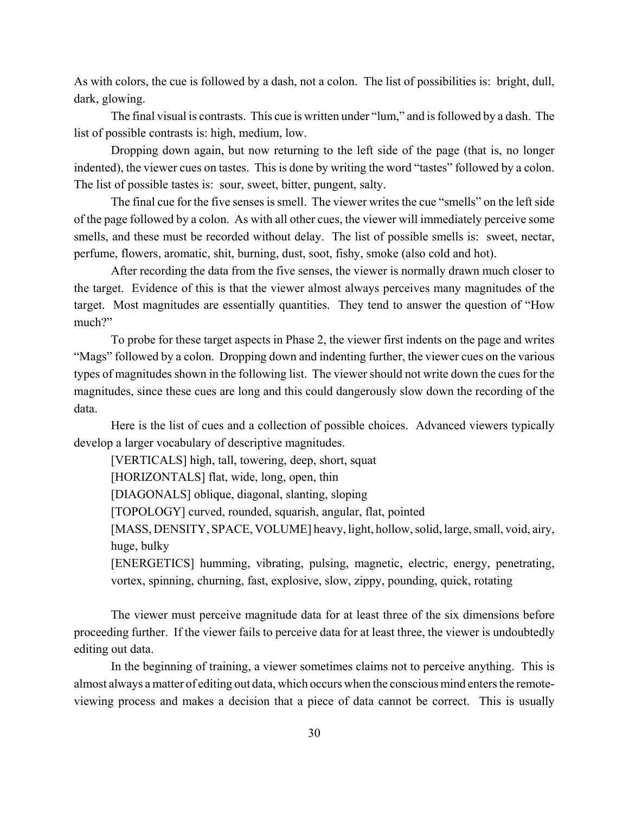As with colors, the cue is followed by a dash, not a colon. The list of possibilities is: bright, dull, dark, glowing.

The final visual is contrasts. This cue is written under "lum," and is followed by a dash. The list of possible contrasts is: high, medium, low.

Dropping down again, but now returning to the left side of the page (that is, no longer indented), the viewer cues on tastes. This is done by writing the word "tastes" followed by a colon. The list of possible tastes is: sour, sweet, bitter, pungent, salty.

The final cue for the five senses is smell. The viewer writes the cue "smells" on the left side of the page followed by a colon. As with all other cues, the viewer will immediately perceive some smells, and these must be recorded without delay. The list of possible smells is: sweet, nectar, perfume, flowers, aromatic, shit, burning, dust, soot, fishy, smoke (also cold and hot).

After recording the data from the five senses, the viewer is normally drawn much closer to the target. Evidence of this is that the viewer almost always perceives many magnitudes of the target. Most magnitudes are essentially quantities. They tend to answer the question of "How much?"

To probe for these target aspects in Phase 2, the viewer first indents on the page and writes "Mags" followed by a colon. Dropping down and indenting further, the viewer cues on the various types of magnitudes shown in the following list. The viewer should not write down the cues for the magnitudes, since these cues are long and this could dangerously slow down the recording of the data.

Here is the list of cues and a collection of possible choices. Advanced viewers typically develop a larger vocabulary of descriptive magnitudes.

[VERTICALS] high, tall, towering, deep, short, squat

[HORIZONTALS] flat, wide, long, open, thin

[DIAGONALS] oblique, diagonal, slanting, sloping

[TOPOLOGY] curved, rounded, squarish, angular, flat, pointed

[MASS, DENSITY, SPACE, VOLUME] heavy, light, hollow, solid, large, small, void, airy, huge, bulky

[ENERGETICS] humming, vibrating, pulsing, magnetic, electric, energy, penetrating, vortex, spinning, churning, fast, explosive, slow, zippy, pounding, quick, rotating

The viewer must perceive magnitude data for at least three of the six dimensions before proceeding further. If the viewer fails to perceive data for at least three, the viewer is undoubtedly editing out data.

In the beginning of training, a viewer sometimes claims not to perceive anything. This is almost always a matter of editing out data, which occurs when the conscious mind enters the remoteviewing process and makes a decision that a piece of data cannot be correct. This is usually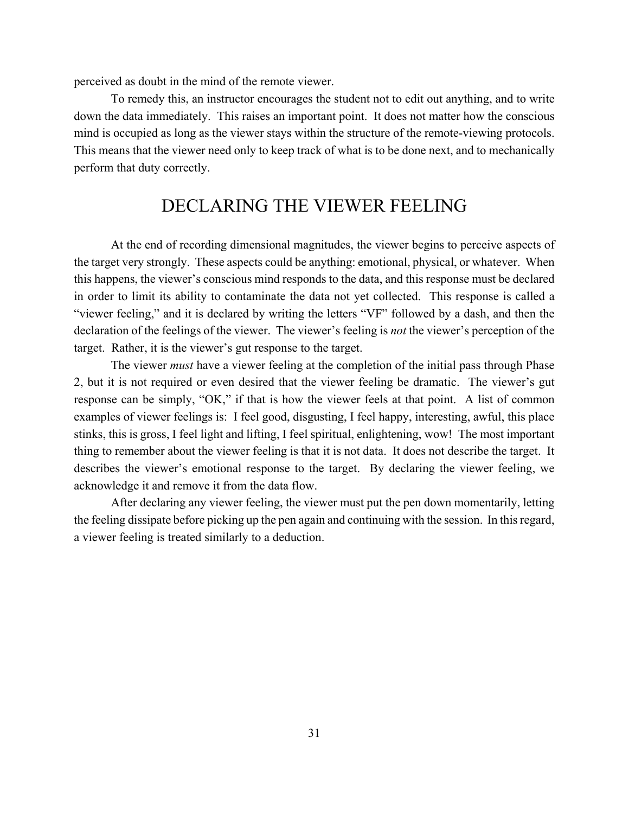perceived as doubt in the mind of the remote viewer.

To remedy this, an instructor encourages the student not to edit out anything, and to write down the data immediately. This raises an important point. It does not matter how the conscious mind is occupied as long as the viewer stays within the structure of the remote-viewing protocols. This means that the viewer need only to keep track of what is to be done next, and to mechanically perform that duty correctly.

## DECLARING THE VIEWER FEELING

At the end of recording dimensional magnitudes, the viewer begins to perceive aspects of the target very strongly. These aspects could be anything: emotional, physical, or whatever. When this happens, the viewer's conscious mind responds to the data, and this response must be declared in order to limit its ability to contaminate the data not yet collected. This response is called a "viewer feeling," and it is declared by writing the letters "VF" followed by a dash, and then the declaration of the feelings of the viewer. The viewer's feeling is *not* the viewer's perception of the target. Rather, it is the viewer's gut response to the target.

The viewer *must* have a viewer feeling at the completion of the initial pass through Phase 2, but it is not required or even desired that the viewer feeling be dramatic. The viewer's gut response can be simply, "OK," if that is how the viewer feels at that point. A list of common examples of viewer feelings is: I feel good, disgusting, I feel happy, interesting, awful, this place stinks, this is gross, I feel light and lifting, I feel spiritual, enlightening, wow! The most important thing to remember about the viewer feeling is that it is not data. It does not describe the target. It describes the viewer's emotional response to the target. By declaring the viewer feeling, we acknowledge it and remove it from the data flow.

After declaring any viewer feeling, the viewer must put the pen down momentarily, letting the feeling dissipate before picking up the pen again and continuing with the session. In this regard, a viewer feeling is treated similarly to a deduction.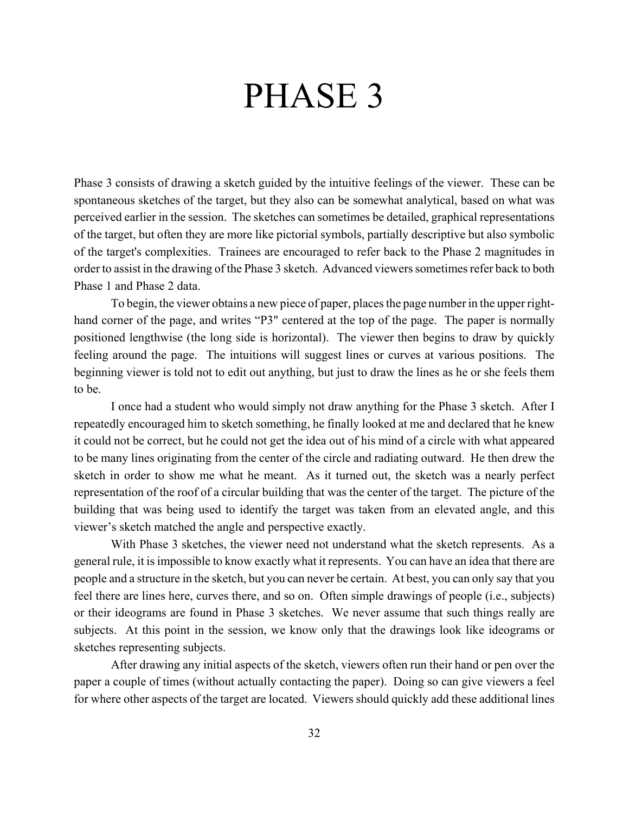# PHASE 3

Phase 3 consists of drawing a sketch guided by the intuitive feelings of the viewer. These can be spontaneous sketches of the target, but they also can be somewhat analytical, based on what was perceived earlier in the session. The sketches can sometimes be detailed, graphical representations of the target, but often they are more like pictorial symbols, partially descriptive but also symbolic of the target's complexities. Trainees are encouraged to refer back to the Phase 2 magnitudes in order to assist in the drawing of the Phase 3 sketch. Advanced viewers sometimes refer back to both Phase 1 and Phase 2 data.

To begin, the viewer obtains a new piece of paper, places the page number in the upper righthand corner of the page, and writes "P3" centered at the top of the page. The paper is normally positioned lengthwise (the long side is horizontal). The viewer then begins to draw by quickly feeling around the page. The intuitions will suggest lines or curves at various positions. The beginning viewer is told not to edit out anything, but just to draw the lines as he or she feels them to be.

I once had a student who would simply not draw anything for the Phase 3 sketch. After I repeatedly encouraged him to sketch something, he finally looked at me and declared that he knew it could not be correct, but he could not get the idea out of his mind of a circle with what appeared to be many lines originating from the center of the circle and radiating outward. He then drew the sketch in order to show me what he meant. As it turned out, the sketch was a nearly perfect representation of the roof of a circular building that was the center of the target. The picture of the building that was being used to identify the target was taken from an elevated angle, and this viewer's sketch matched the angle and perspective exactly.

With Phase 3 sketches, the viewer need not understand what the sketch represents. As a general rule, it is impossible to know exactly what it represents. You can have an idea that there are people and a structure in the sketch, but you can never be certain. At best, you can only say that you feel there are lines here, curves there, and so on. Often simple drawings of people (i.e., subjects) or their ideograms are found in Phase 3 sketches. We never assume that such things really are subjects. At this point in the session, we know only that the drawings look like ideograms or sketches representing subjects.

After drawing any initial aspects of the sketch, viewers often run their hand or pen over the paper a couple of times (without actually contacting the paper). Doing so can give viewers a feel for where other aspects of the target are located. Viewers should quickly add these additional lines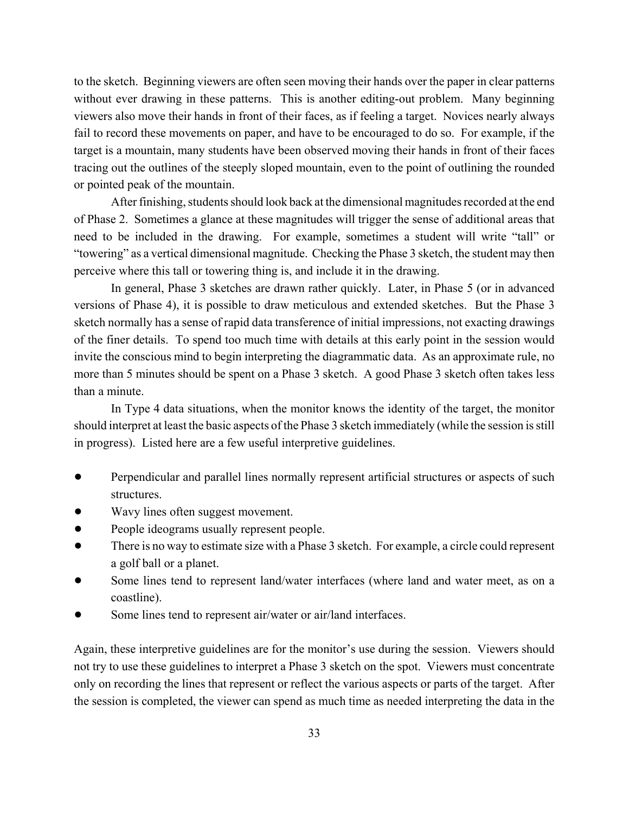to the sketch. Beginning viewers are often seen moving their hands over the paper in clear patterns without ever drawing in these patterns. This is another editing-out problem. Many beginning viewers also move their hands in front of their faces, as if feeling a target. Novices nearly always fail to record these movements on paper, and have to be encouraged to do so. For example, if the target is a mountain, many students have been observed moving their hands in front of their faces tracing out the outlines of the steeply sloped mountain, even to the point of outlining the rounded or pointed peak of the mountain.

After finishing, students should look back at the dimensional magnitudes recorded at the end of Phase 2. Sometimes a glance at these magnitudes will trigger the sense of additional areas that need to be included in the drawing. For example, sometimes a student will write "tall" or "towering" as a vertical dimensional magnitude. Checking the Phase 3 sketch, the student may then perceive where this tall or towering thing is, and include it in the drawing.

In general, Phase 3 sketches are drawn rather quickly. Later, in Phase 5 (or in advanced versions of Phase 4), it is possible to draw meticulous and extended sketches. But the Phase 3 sketch normally has a sense of rapid data transference of initial impressions, not exacting drawings of the finer details. To spend too much time with details at this early point in the session would invite the conscious mind to begin interpreting the diagrammatic data. As an approximate rule, no more than 5 minutes should be spent on a Phase 3 sketch. A good Phase 3 sketch often takes less than a minute.

In Type 4 data situations, when the monitor knows the identity of the target, the monitor should interpret at least the basic aspects of the Phase 3 sketch immediately (while the session is still in progress). Listed here are a few useful interpretive guidelines.

- ! Perpendicular and parallel lines normally represent artificial structures or aspects of such structures.
- Wavy lines often suggest movement.
- People ideograms usually represent people.
- There is no way to estimate size with a Phase 3 sketch. For example, a circle could represent a golf ball or a planet.
- Some lines tend to represent land/water interfaces (where land and water meet, as on a coastline).
- Some lines tend to represent air/water or air/land interfaces.

Again, these interpretive guidelines are for the monitor's use during the session. Viewers should not try to use these guidelines to interpret a Phase 3 sketch on the spot. Viewers must concentrate only on recording the lines that represent or reflect the various aspects or parts of the target. After the session is completed, the viewer can spend as much time as needed interpreting the data in the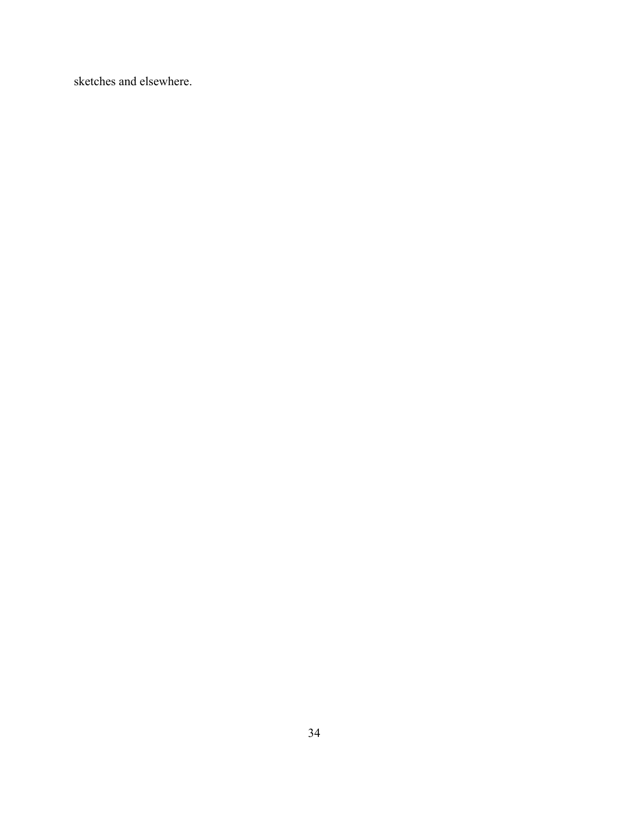sketches and elsewhere.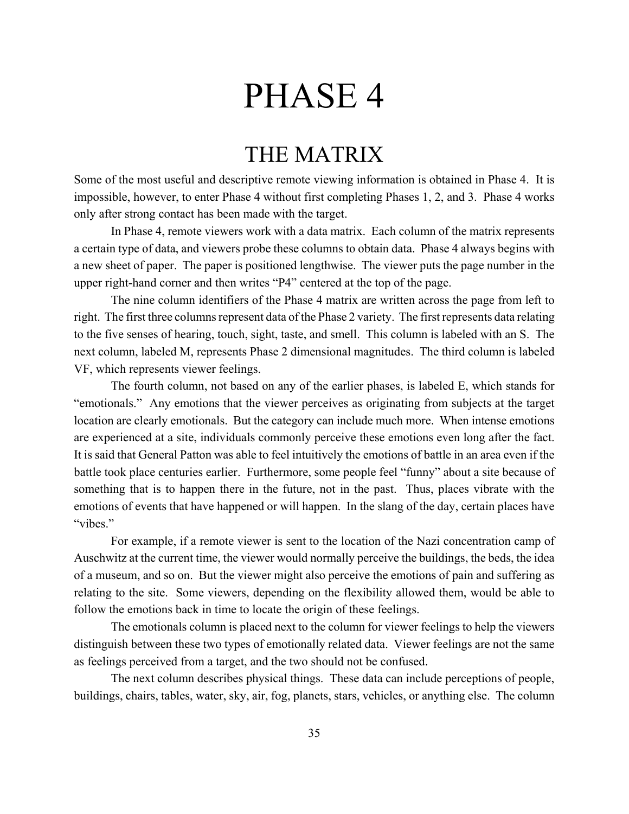# PHASE 4

# THE MATRIX

Some of the most useful and descriptive remote viewing information is obtained in Phase 4. It is impossible, however, to enter Phase 4 without first completing Phases 1, 2, and 3. Phase 4 works only after strong contact has been made with the target.

In Phase 4, remote viewers work with a data matrix. Each column of the matrix represents a certain type of data, and viewers probe these columns to obtain data. Phase 4 always begins with a new sheet of paper. The paper is positioned lengthwise. The viewer puts the page number in the upper right-hand corner and then writes "P4" centered at the top of the page.

The nine column identifiers of the Phase 4 matrix are written across the page from left to right. The first three columns represent data of the Phase 2 variety. The first represents data relating to the five senses of hearing, touch, sight, taste, and smell. This column is labeled with an S. The next column, labeled M, represents Phase 2 dimensional magnitudes. The third column is labeled VF, which represents viewer feelings.

The fourth column, not based on any of the earlier phases, is labeled E, which stands for "emotionals." Any emotions that the viewer perceives as originating from subjects at the target location are clearly emotionals. But the category can include much more. When intense emotions are experienced at a site, individuals commonly perceive these emotions even long after the fact. It is said that General Patton was able to feel intuitively the emotions of battle in an area even if the battle took place centuries earlier. Furthermore, some people feel "funny" about a site because of something that is to happen there in the future, not in the past. Thus, places vibrate with the emotions of events that have happened or will happen. In the slang of the day, certain places have "vibes."

For example, if a remote viewer is sent to the location of the Nazi concentration camp of Auschwitz at the current time, the viewer would normally perceive the buildings, the beds, the idea of a museum, and so on. But the viewer might also perceive the emotions of pain and suffering as relating to the site. Some viewers, depending on the flexibility allowed them, would be able to follow the emotions back in time to locate the origin of these feelings.

The emotionals column is placed next to the column for viewer feelings to help the viewers distinguish between these two types of emotionally related data. Viewer feelings are not the same as feelings perceived from a target, and the two should not be confused.

The next column describes physical things. These data can include perceptions of people, buildings, chairs, tables, water, sky, air, fog, planets, stars, vehicles, or anything else. The column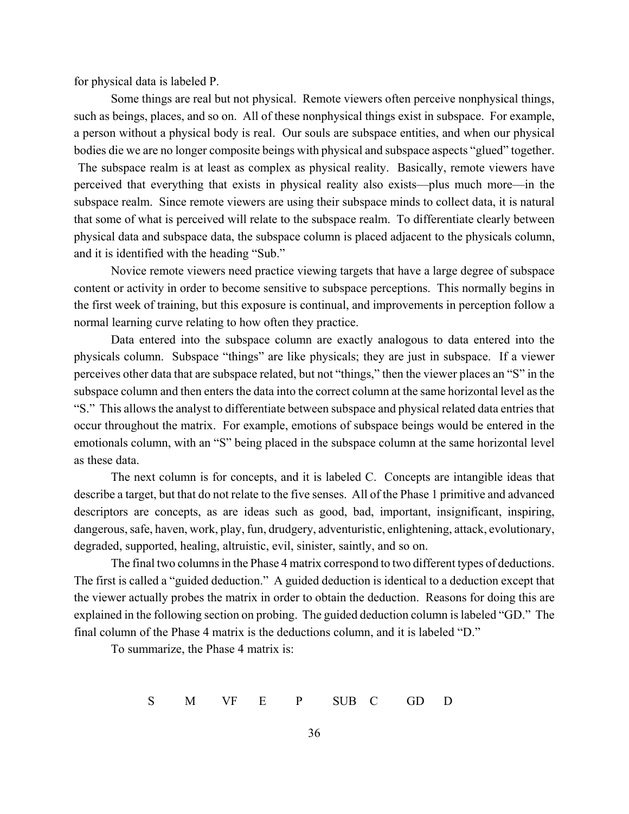for physical data is labeled P.

Some things are real but not physical. Remote viewers often perceive nonphysical things, such as beings, places, and so on. All of these nonphysical things exist in subspace. For example, a person without a physical body is real. Our souls are subspace entities, and when our physical bodies die we are no longer composite beings with physical and subspace aspects "glued" together. The subspace realm is at least as complex as physical reality. Basically, remote viewers have perceived that everything that exists in physical reality also exists—plus much more—in the subspace realm. Since remote viewers are using their subspace minds to collect data, it is natural that some of what is perceived will relate to the subspace realm. To differentiate clearly between physical data and subspace data, the subspace column is placed adjacent to the physicals column, and it is identified with the heading "Sub."

Novice remote viewers need practice viewing targets that have a large degree of subspace content or activity in order to become sensitive to subspace perceptions. This normally begins in the first week of training, but this exposure is continual, and improvements in perception follow a normal learning curve relating to how often they practice.

Data entered into the subspace column are exactly analogous to data entered into the physicals column. Subspace "things" are like physicals; they are just in subspace. If a viewer perceives other data that are subspace related, but not "things," then the viewer places an "S" in the subspace column and then enters the data into the correct column at the same horizontal level as the "S." This allows the analyst to differentiate between subspace and physical related data entries that occur throughout the matrix. For example, emotions of subspace beings would be entered in the emotionals column, with an "S" being placed in the subspace column at the same horizontal level as these data.

The next column is for concepts, and it is labeled C. Concepts are intangible ideas that describe a target, but that do not relate to the five senses. All of the Phase 1 primitive and advanced descriptors are concepts, as are ideas such as good, bad, important, insignificant, inspiring, dangerous, safe, haven, work, play, fun, drudgery, adventuristic, enlightening, attack, evolutionary, degraded, supported, healing, altruistic, evil, sinister, saintly, and so on.

The final two columns in the Phase 4 matrix correspond to two different types of deductions. The first is called a "guided deduction." A guided deduction is identical to a deduction except that the viewer actually probes the matrix in order to obtain the deduction. Reasons for doing this are explained in the following section on probing. The guided deduction column is labeled "GD." The final column of the Phase 4 matrix is the deductions column, and it is labeled "D."

To summarize, the Phase 4 matrix is:

S M VF E P SUB C GD D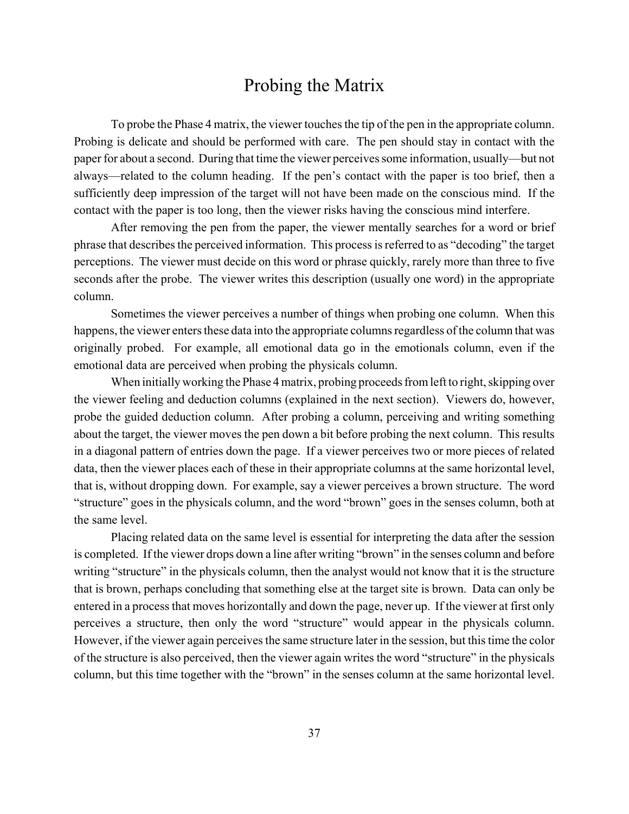## Probing the Matrix

To probe the Phase 4 matrix, the viewer touches the tip of the pen in the appropriate column. Probing is delicate and should be performed with care. The pen should stay in contact with the paper for about a second. During that time the viewer perceives some information, usually—but not always—related to the column heading. If the pen's contact with the paper is too brief, then a sufficiently deep impression of the target will not have been made on the conscious mind. If the contact with the paper is too long, then the viewer risks having the conscious mind interfere.

After removing the pen from the paper, the viewer mentally searches for a word or brief phrase that describes the perceived information. This process is referred to as "decoding" the target perceptions. The viewer must decide on this word or phrase quickly, rarely more than three to five seconds after the probe. The viewer writes this description (usually one word) in the appropriate column.

Sometimes the viewer perceives a number of things when probing one column. When this happens, the viewer enters these data into the appropriate columns regardless of the column that was originally probed. For example, all emotional data go in the emotionals column, even if the emotional data are perceived when probing the physicals column.

When initially working the Phase 4 matrix, probing proceeds from left to right, skipping over the viewer feeling and deduction columns (explained in the next section). Viewers do, however, probe the guided deduction column. After probing a column, perceiving and writing something about the target, the viewer moves the pen down a bit before probing the next column. This results in a diagonal pattern of entries down the page. If a viewer perceives two or more pieces of related data, then the viewer places each of these in their appropriate columns at the same horizontal level, that is, without dropping down. For example, say a viewer perceives a brown structure. The word "structure" goes in the physicals column, and the word "brown" goes in the senses column, both at the same level.

Placing related data on the same level is essential for interpreting the data after the session is completed. If the viewer drops down a line after writing "brown" in the senses column and before writing "structure" in the physicals column, then the analyst would not know that it is the structure that is brown, perhaps concluding that something else at the target site is brown. Data can only be entered in a process that moves horizontally and down the page, never up. If the viewer at first only perceives a structure, then only the word "structure" would appear in the physicals column. However, if the viewer again perceives the same structure later in the session, but this time the color of the structure is also perceived, then the viewer again writes the word "structure" in the physicals column, but this time together with the "brown" in the senses column at the same horizontal level.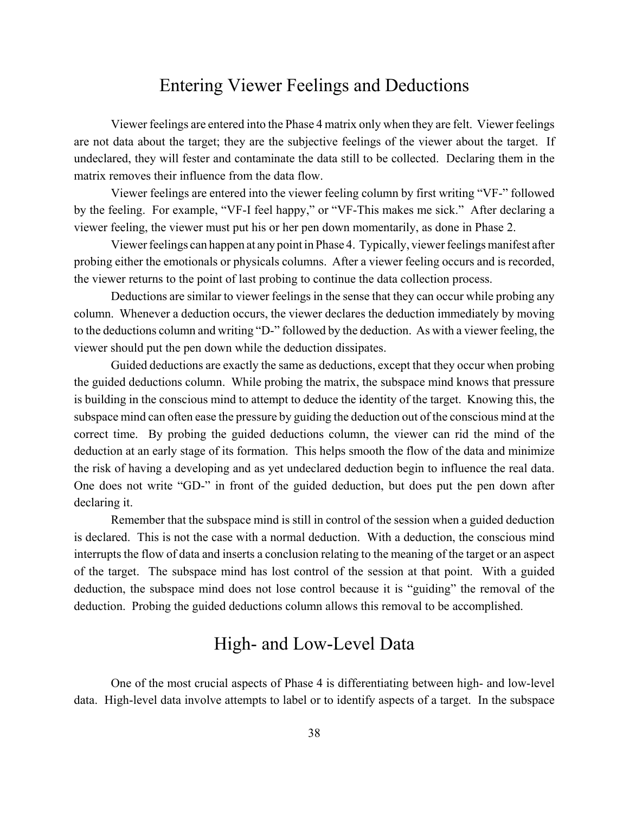## Entering Viewer Feelings and Deductions

Viewer feelings are entered into the Phase 4 matrix only when they are felt. Viewer feelings are not data about the target; they are the subjective feelings of the viewer about the target. If undeclared, they will fester and contaminate the data still to be collected. Declaring them in the matrix removes their influence from the data flow.

Viewer feelings are entered into the viewer feeling column by first writing "VF-" followed by the feeling. For example, "VF-I feel happy," or "VF-This makes me sick." After declaring a viewer feeling, the viewer must put his or her pen down momentarily, as done in Phase 2.

Viewer feelings can happen at any point in Phase 4. Typically, viewer feelings manifest after probing either the emotionals or physicals columns. After a viewer feeling occurs and is recorded, the viewer returns to the point of last probing to continue the data collection process.

Deductions are similar to viewer feelings in the sense that they can occur while probing any column. Whenever a deduction occurs, the viewer declares the deduction immediately by moving to the deductions column and writing "D-" followed by the deduction. As with a viewer feeling, the viewer should put the pen down while the deduction dissipates.

Guided deductions are exactly the same as deductions, except that they occur when probing the guided deductions column. While probing the matrix, the subspace mind knows that pressure is building in the conscious mind to attempt to deduce the identity of the target. Knowing this, the subspace mind can often ease the pressure by guiding the deduction out of the conscious mind at the correct time. By probing the guided deductions column, the viewer can rid the mind of the deduction at an early stage of its formation. This helps smooth the flow of the data and minimize the risk of having a developing and as yet undeclared deduction begin to influence the real data. One does not write "GD-" in front of the guided deduction, but does put the pen down after declaring it.

Remember that the subspace mind is still in control of the session when a guided deduction is declared. This is not the case with a normal deduction. With a deduction, the conscious mind interrupts the flow of data and inserts a conclusion relating to the meaning of the target or an aspect of the target. The subspace mind has lost control of the session at that point. With a guided deduction, the subspace mind does not lose control because it is "guiding" the removal of the deduction. Probing the guided deductions column allows this removal to be accomplished.

### High- and Low-Level Data

One of the most crucial aspects of Phase 4 is differentiating between high- and low-level data. High-level data involve attempts to label or to identify aspects of a target. In the subspace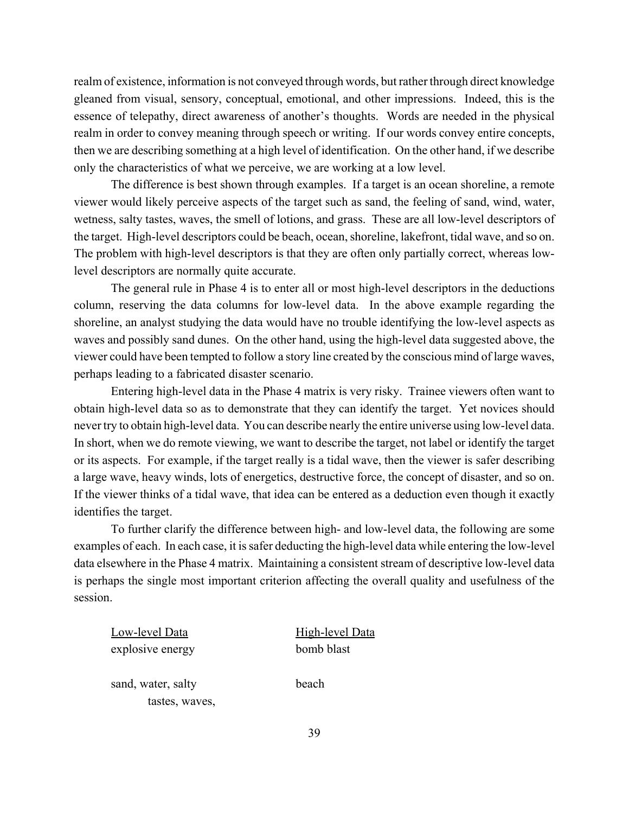realm of existence, information is not conveyed through words, but rather through direct knowledge gleaned from visual, sensory, conceptual, emotional, and other impressions. Indeed, this is the essence of telepathy, direct awareness of another's thoughts. Words are needed in the physical realm in order to convey meaning through speech or writing. If our words convey entire concepts, then we are describing something at a high level of identification. On the other hand, if we describe only the characteristics of what we perceive, we are working at a low level.

The difference is best shown through examples. If a target is an ocean shoreline, a remote viewer would likely perceive aspects of the target such as sand, the feeling of sand, wind, water, wetness, salty tastes, waves, the smell of lotions, and grass. These are all low-level descriptors of the target. High-level descriptors could be beach, ocean, shoreline, lakefront, tidal wave, and so on. The problem with high-level descriptors is that they are often only partially correct, whereas lowlevel descriptors are normally quite accurate.

The general rule in Phase 4 is to enter all or most high-level descriptors in the deductions column, reserving the data columns for low-level data. In the above example regarding the shoreline, an analyst studying the data would have no trouble identifying the low-level aspects as waves and possibly sand dunes. On the other hand, using the high-level data suggested above, the viewer could have been tempted to follow a story line created by the conscious mind of large waves, perhaps leading to a fabricated disaster scenario.

Entering high-level data in the Phase 4 matrix is very risky. Trainee viewers often want to obtain high-level data so as to demonstrate that they can identify the target. Yet novices should never try to obtain high-level data. You can describe nearly the entire universe using low-level data. In short, when we do remote viewing, we want to describe the target, not label or identify the target or its aspects. For example, if the target really is a tidal wave, then the viewer is safer describing a large wave, heavy winds, lots of energetics, destructive force, the concept of disaster, and so on. If the viewer thinks of a tidal wave, that idea can be entered as a deduction even though it exactly identifies the target.

To further clarify the difference between high- and low-level data, the following are some examples of each. In each case, it is safer deducting the high-level data while entering the low-level data elsewhere in the Phase 4 matrix. Maintaining a consistent stream of descriptive low-level data is perhaps the single most important criterion affecting the overall quality and usefulness of the session.

| Low-level Data     | <b>High-level Data</b> |
|--------------------|------------------------|
| explosive energy   | bomb blast             |
|                    |                        |
| sand, water, salty | heach                  |
| tastes, waves,     |                        |
|                    |                        |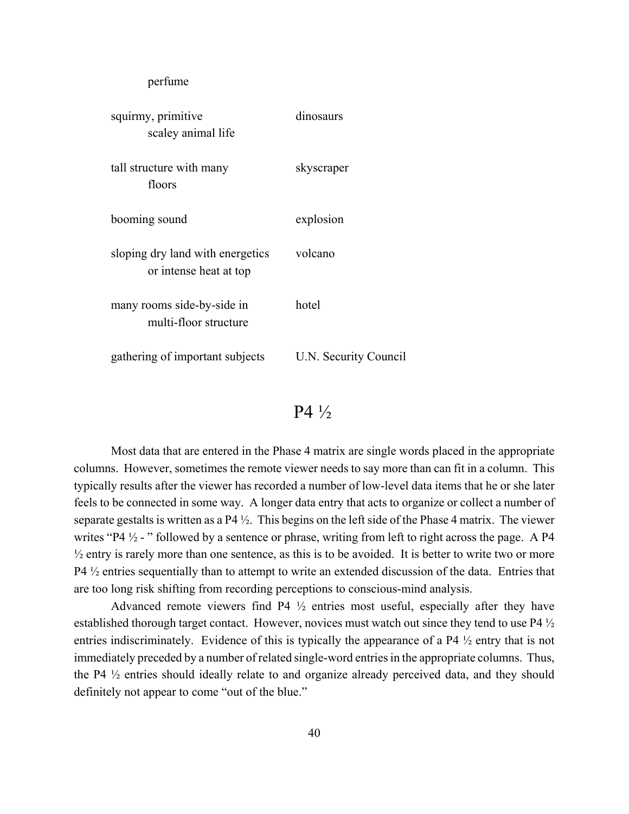perfume

| squirmy, primitive<br>scaley animal life                   | dinosaurs             |
|------------------------------------------------------------|-----------------------|
| tall structure with many<br>floors                         | skyscraper            |
| booming sound                                              | explosion             |
| sloping dry land with energetics<br>or intense heat at top | volcano               |
| many rooms side-by-side in<br>multi-floor structure        | hotel                 |
| gathering of important subjects                            | U.N. Security Council |

#### P4 ½

Most data that are entered in the Phase 4 matrix are single words placed in the appropriate columns. However, sometimes the remote viewer needs to say more than can fit in a column. This typically results after the viewer has recorded a number of low-level data items that he or she later feels to be connected in some way. A longer data entry that acts to organize or collect a number of separate gestalts is written as a P4 ½. This begins on the left side of the Phase 4 matrix. The viewer writes "P4 ½ - " followed by a sentence or phrase, writing from left to right across the page. A P4  $\frac{1}{2}$  entry is rarely more than one sentence, as this is to be avoided. It is better to write two or more P4 ½ entries sequentially than to attempt to write an extended discussion of the data. Entries that are too long risk shifting from recording perceptions to conscious-mind analysis.

Advanced remote viewers find  $P4 \frac{1}{2}$  entries most useful, especially after they have established thorough target contact. However, novices must watch out since they tend to use P4 ½ entries indiscriminately. Evidence of this is typically the appearance of a P4 ½ entry that is not immediately preceded by a number of related single-word entries in the appropriate columns. Thus, the P4 ½ entries should ideally relate to and organize already perceived data, and they should definitely not appear to come "out of the blue."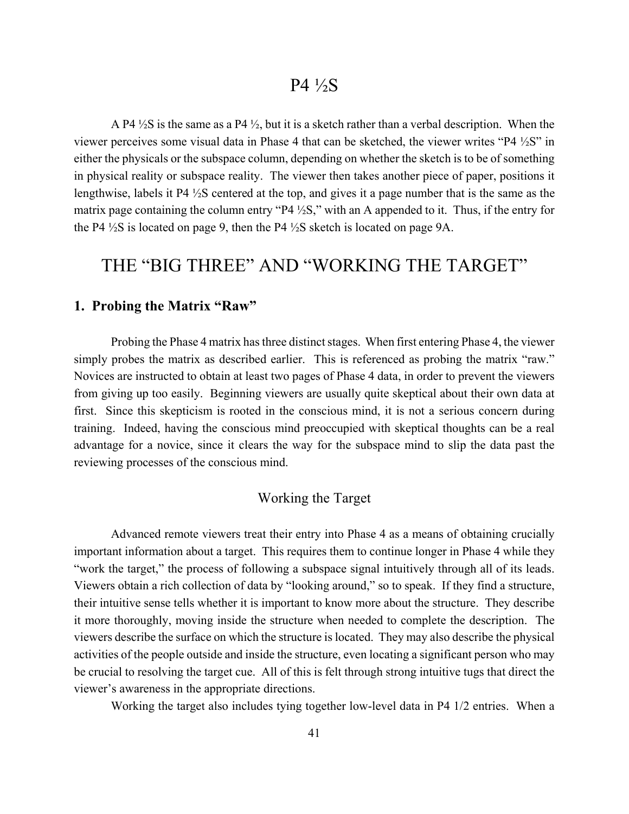#### P4 ½S

A P4 ½S is the same as a P4 ½, but it is a sketch rather than a verbal description. When the viewer perceives some visual data in Phase 4 that can be sketched, the viewer writes "P4 ½S" in either the physicals or the subspace column, depending on whether the sketch is to be of something in physical reality or subspace reality. The viewer then takes another piece of paper, positions it lengthwise, labels it P4 ½S centered at the top, and gives it a page number that is the same as the matrix page containing the column entry "P4 ½S," with an A appended to it. Thus, if the entry for the P4 ½S is located on page 9, then the P4 ½S sketch is located on page 9A.

## THE "BIG THREE" AND "WORKING THE TARGET"

#### **1. Probing the Matrix "Raw"**

Probing the Phase 4 matrix has three distinct stages. When first entering Phase 4, the viewer simply probes the matrix as described earlier. This is referenced as probing the matrix "raw." Novices are instructed to obtain at least two pages of Phase 4 data, in order to prevent the viewers from giving up too easily. Beginning viewers are usually quite skeptical about their own data at first. Since this skepticism is rooted in the conscious mind, it is not a serious concern during training. Indeed, having the conscious mind preoccupied with skeptical thoughts can be a real advantage for a novice, since it clears the way for the subspace mind to slip the data past the reviewing processes of the conscious mind.

#### Working the Target

Advanced remote viewers treat their entry into Phase 4 as a means of obtaining crucially important information about a target. This requires them to continue longer in Phase 4 while they "work the target," the process of following a subspace signal intuitively through all of its leads. Viewers obtain a rich collection of data by "looking around," so to speak. If they find a structure, their intuitive sense tells whether it is important to know more about the structure. They describe it more thoroughly, moving inside the structure when needed to complete the description. The viewers describe the surface on which the structure is located. They may also describe the physical activities of the people outside and inside the structure, even locating a significant person who may be crucial to resolving the target cue. All of this is felt through strong intuitive tugs that direct the viewer's awareness in the appropriate directions.

Working the target also includes tying together low-level data in P4 1/2 entries. When a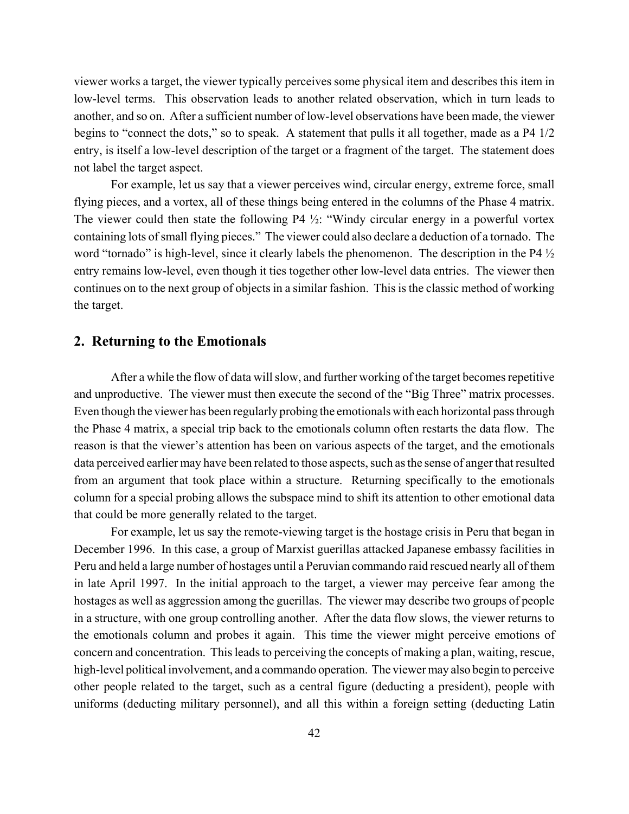viewer works a target, the viewer typically perceives some physical item and describes this item in low-level terms. This observation leads to another related observation, which in turn leads to another, and so on. After a sufficient number of low-level observations have been made, the viewer begins to "connect the dots," so to speak. A statement that pulls it all together, made as a P4 1/2 entry, is itself a low-level description of the target or a fragment of the target. The statement does not label the target aspect.

For example, let us say that a viewer perceives wind, circular energy, extreme force, small flying pieces, and a vortex, all of these things being entered in the columns of the Phase 4 matrix. The viewer could then state the following P4 ½: "Windy circular energy in a powerful vortex containing lots of small flying pieces." The viewer could also declare a deduction of a tornado. The word "tornado" is high-level, since it clearly labels the phenomenon. The description in the P4  $\frac{1}{2}$ entry remains low-level, even though it ties together other low-level data entries. The viewer then continues on to the next group of objects in a similar fashion. This is the classic method of working the target.

#### **2. Returning to the Emotionals**

After a while the flow of data will slow, and further working of the target becomes repetitive and unproductive. The viewer must then execute the second of the "Big Three" matrix processes. Even though the viewer has been regularly probing the emotionals with each horizontal pass through the Phase 4 matrix, a special trip back to the emotionals column often restarts the data flow. The reason is that the viewer's attention has been on various aspects of the target, and the emotionals data perceived earlier may have been related to those aspects, such as the sense of anger that resulted from an argument that took place within a structure. Returning specifically to the emotionals column for a special probing allows the subspace mind to shift its attention to other emotional data that could be more generally related to the target.

For example, let us say the remote-viewing target is the hostage crisis in Peru that began in December 1996. In this case, a group of Marxist guerillas attacked Japanese embassy facilities in Peru and held a large number of hostages until a Peruvian commando raid rescued nearly all of them in late April 1997. In the initial approach to the target, a viewer may perceive fear among the hostages as well as aggression among the guerillas. The viewer may describe two groups of people in a structure, with one group controlling another. After the data flow slows, the viewer returns to the emotionals column and probes it again. This time the viewer might perceive emotions of concern and concentration. This leads to perceiving the concepts of making a plan, waiting, rescue, high-level political involvement, and a commando operation. The viewer may also begin to perceive other people related to the target, such as a central figure (deducting a president), people with uniforms (deducting military personnel), and all this within a foreign setting (deducting Latin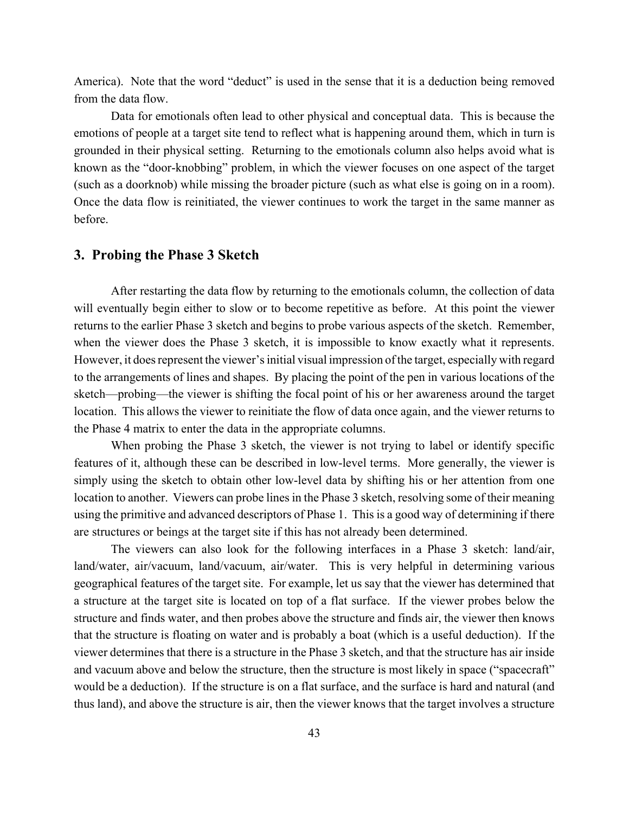America). Note that the word "deduct" is used in the sense that it is a deduction being removed from the data flow.

Data for emotionals often lead to other physical and conceptual data. This is because the emotions of people at a target site tend to reflect what is happening around them, which in turn is grounded in their physical setting. Returning to the emotionals column also helps avoid what is known as the "door-knobbing" problem, in which the viewer focuses on one aspect of the target (such as a doorknob) while missing the broader picture (such as what else is going on in a room). Once the data flow is reinitiated, the viewer continues to work the target in the same manner as before.

#### **3. Probing the Phase 3 Sketch**

After restarting the data flow by returning to the emotionals column, the collection of data will eventually begin either to slow or to become repetitive as before. At this point the viewer returns to the earlier Phase 3 sketch and begins to probe various aspects of the sketch. Remember, when the viewer does the Phase 3 sketch, it is impossible to know exactly what it represents. However, it does represent the viewer's initial visual impression of the target, especially with regard to the arrangements of lines and shapes. By placing the point of the pen in various locations of the sketch—probing—the viewer is shifting the focal point of his or her awareness around the target location. This allows the viewer to reinitiate the flow of data once again, and the viewer returns to the Phase 4 matrix to enter the data in the appropriate columns.

When probing the Phase 3 sketch, the viewer is not trying to label or identify specific features of it, although these can be described in low-level terms. More generally, the viewer is simply using the sketch to obtain other low-level data by shifting his or her attention from one location to another. Viewers can probe lines in the Phase 3 sketch, resolving some of their meaning using the primitive and advanced descriptors of Phase 1. This is a good way of determining if there are structures or beings at the target site if this has not already been determined.

The viewers can also look for the following interfaces in a Phase 3 sketch: land/air, land/water, air/vacuum, land/vacuum, air/water. This is very helpful in determining various geographical features of the target site. For example, let us say that the viewer has determined that a structure at the target site is located on top of a flat surface. If the viewer probes below the structure and finds water, and then probes above the structure and finds air, the viewer then knows that the structure is floating on water and is probably a boat (which is a useful deduction). If the viewer determines that there is a structure in the Phase 3 sketch, and that the structure has air inside and vacuum above and below the structure, then the structure is most likely in space ("spacecraft" would be a deduction). If the structure is on a flat surface, and the surface is hard and natural (and thus land), and above the structure is air, then the viewer knows that the target involves a structure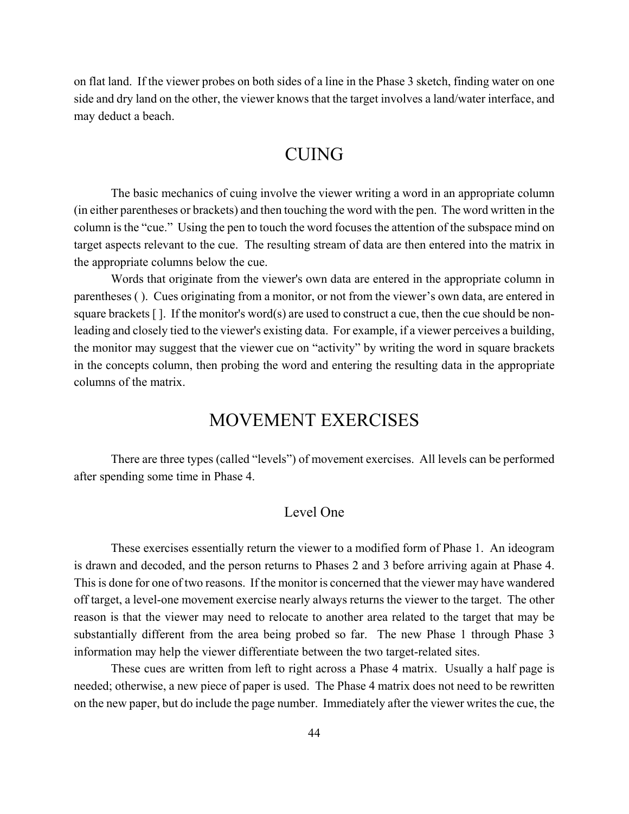on flat land. If the viewer probes on both sides of a line in the Phase 3 sketch, finding water on one side and dry land on the other, the viewer knows that the target involves a land/water interface, and may deduct a beach.

## CUING

The basic mechanics of cuing involve the viewer writing a word in an appropriate column (in either parentheses or brackets) and then touching the word with the pen. The word written in the column is the "cue." Using the pen to touch the word focuses the attention of the subspace mind on target aspects relevant to the cue. The resulting stream of data are then entered into the matrix in the appropriate columns below the cue.

Words that originate from the viewer's own data are entered in the appropriate column in parentheses ( ). Cues originating from a monitor, or not from the viewer's own data, are entered in square brackets []. If the monitor's word(s) are used to construct a cue, then the cue should be nonleading and closely tied to the viewer's existing data. For example, if a viewer perceives a building, the monitor may suggest that the viewer cue on "activity" by writing the word in square brackets in the concepts column, then probing the word and entering the resulting data in the appropriate columns of the matrix.

## MOVEMENT EXERCISES

There are three types (called "levels") of movement exercises. All levels can be performed after spending some time in Phase 4.

#### Level One

These exercises essentially return the viewer to a modified form of Phase 1. An ideogram is drawn and decoded, and the person returns to Phases 2 and 3 before arriving again at Phase 4. This is done for one of two reasons. If the monitor is concerned that the viewer may have wandered off target, a level-one movement exercise nearly always returns the viewer to the target. The other reason is that the viewer may need to relocate to another area related to the target that may be substantially different from the area being probed so far. The new Phase 1 through Phase 3 information may help the viewer differentiate between the two target-related sites.

These cues are written from left to right across a Phase 4 matrix. Usually a half page is needed; otherwise, a new piece of paper is used. The Phase 4 matrix does not need to be rewritten on the new paper, but do include the page number. Immediately after the viewer writes the cue, the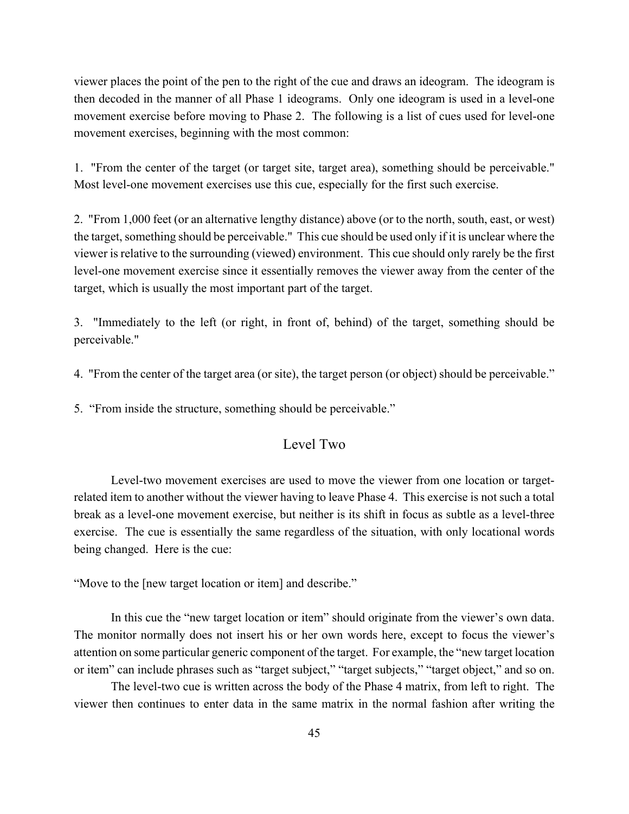viewer places the point of the pen to the right of the cue and draws an ideogram. The ideogram is then decoded in the manner of all Phase 1 ideograms. Only one ideogram is used in a level-one movement exercise before moving to Phase 2. The following is a list of cues used for level-one movement exercises, beginning with the most common:

1. "From the center of the target (or target site, target area), something should be perceivable." Most level-one movement exercises use this cue, especially for the first such exercise.

2. "From 1,000 feet (or an alternative lengthy distance) above (or to the north, south, east, or west) the target, something should be perceivable." This cue should be used only if it is unclear where the viewer is relative to the surrounding (viewed) environment. This cue should only rarely be the first level-one movement exercise since it essentially removes the viewer away from the center of the target, which is usually the most important part of the target.

3. "Immediately to the left (or right, in front of, behind) of the target, something should be perceivable."

4. "From the center of the target area (or site), the target person (or object) should be perceivable."

5. "From inside the structure, something should be perceivable."

#### Level Two

Level-two movement exercises are used to move the viewer from one location or targetrelated item to another without the viewer having to leave Phase 4. This exercise is not such a total break as a level-one movement exercise, but neither is its shift in focus as subtle as a level-three exercise. The cue is essentially the same regardless of the situation, with only locational words being changed. Here is the cue:

"Move to the [new target location or item] and describe."

In this cue the "new target location or item" should originate from the viewer's own data. The monitor normally does not insert his or her own words here, except to focus the viewer's attention on some particular generic component of the target. For example, the "new target location or item" can include phrases such as "target subject," "target subjects," "target object," and so on.

The level-two cue is written across the body of the Phase 4 matrix, from left to right. The viewer then continues to enter data in the same matrix in the normal fashion after writing the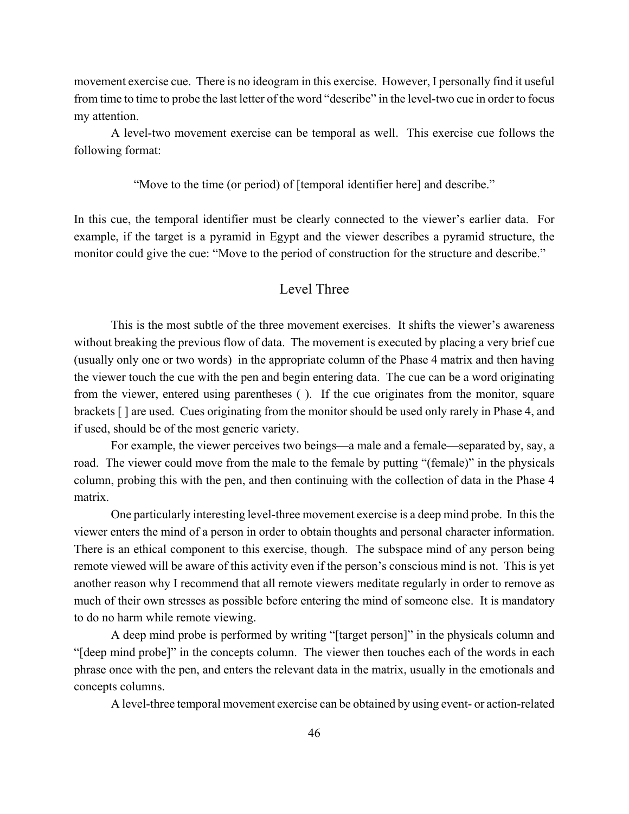movement exercise cue. There is no ideogram in this exercise. However, I personally find it useful from time to time to probe the last letter of the word "describe" in the level-two cue in order to focus my attention.

A level-two movement exercise can be temporal as well. This exercise cue follows the following format:

"Move to the time (or period) of [temporal identifier here] and describe."

In this cue, the temporal identifier must be clearly connected to the viewer's earlier data. For example, if the target is a pyramid in Egypt and the viewer describes a pyramid structure, the monitor could give the cue: "Move to the period of construction for the structure and describe."

#### Level Three

This is the most subtle of the three movement exercises. It shifts the viewer's awareness without breaking the previous flow of data. The movement is executed by placing a very brief cue (usually only one or two words) in the appropriate column of the Phase 4 matrix and then having the viewer touch the cue with the pen and begin entering data. The cue can be a word originating from the viewer, entered using parentheses ( ). If the cue originates from the monitor, square brackets [ ] are used. Cues originating from the monitor should be used only rarely in Phase 4, and if used, should be of the most generic variety.

For example, the viewer perceives two beings—a male and a female—separated by, say, a road. The viewer could move from the male to the female by putting "(female)" in the physicals column, probing this with the pen, and then continuing with the collection of data in the Phase 4 matrix.

One particularly interesting level-three movement exercise is a deep mind probe. In this the viewer enters the mind of a person in order to obtain thoughts and personal character information. There is an ethical component to this exercise, though. The subspace mind of any person being remote viewed will be aware of this activity even if the person's conscious mind is not. This is yet another reason why I recommend that all remote viewers meditate regularly in order to remove as much of their own stresses as possible before entering the mind of someone else. It is mandatory to do no harm while remote viewing.

A deep mind probe is performed by writing "[target person]" in the physicals column and "[deep mind probe]" in the concepts column. The viewer then touches each of the words in each phrase once with the pen, and enters the relevant data in the matrix, usually in the emotionals and concepts columns.

A level-three temporal movement exercise can be obtained by using event- or action-related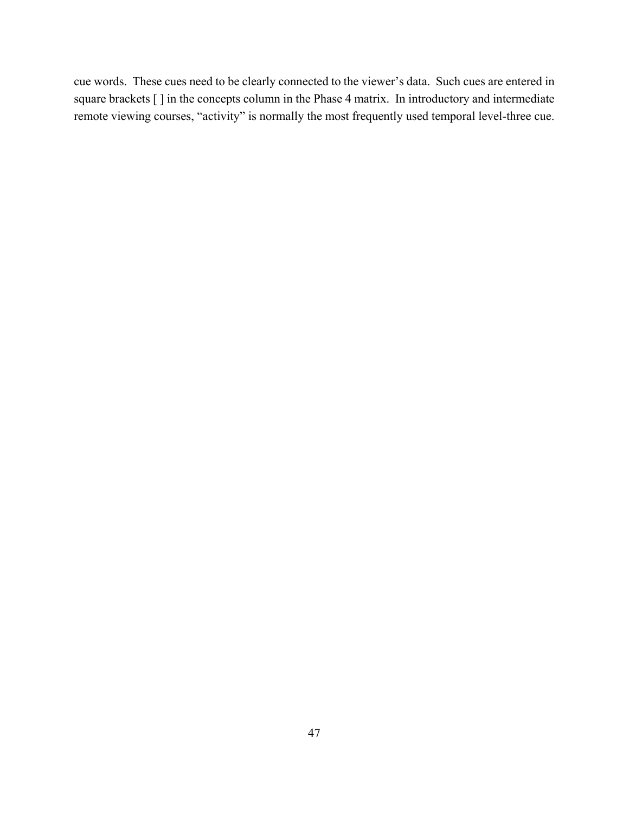cue words. These cues need to be clearly connected to the viewer's data. Such cues are entered in square brackets [ ] in the concepts column in the Phase 4 matrix. In introductory and intermediate remote viewing courses, "activity" is normally the most frequently used temporal level-three cue.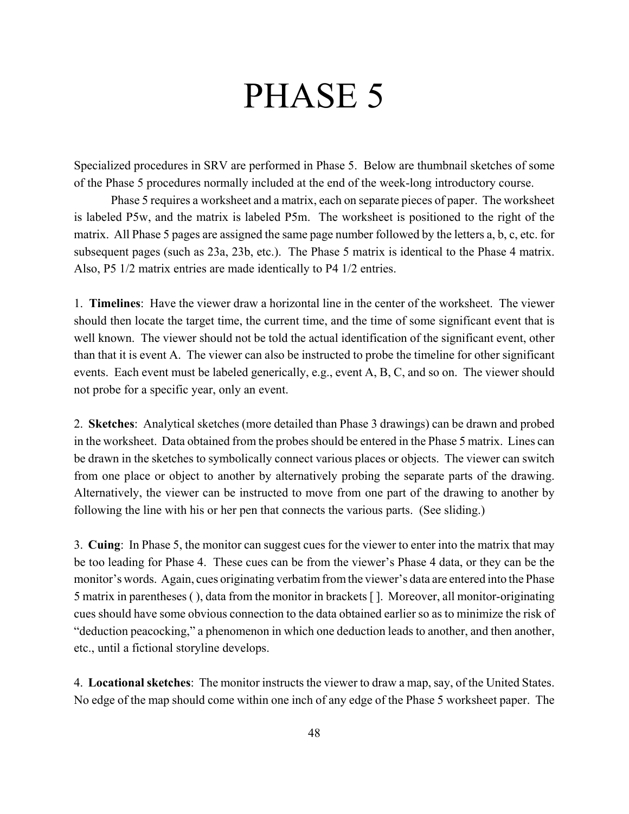# PHASE 5

Specialized procedures in SRV are performed in Phase 5. Below are thumbnail sketches of some of the Phase 5 procedures normally included at the end of the week-long introductory course.

Phase 5 requires a worksheet and a matrix, each on separate pieces of paper. The worksheet is labeled P5w, and the matrix is labeled P5m. The worksheet is positioned to the right of the matrix. All Phase 5 pages are assigned the same page number followed by the letters a, b, c, etc. for subsequent pages (such as 23a, 23b, etc.). The Phase 5 matrix is identical to the Phase 4 matrix. Also, P5 1/2 matrix entries are made identically to P4 1/2 entries.

1. **Timelines**: Have the viewer draw a horizontal line in the center of the worksheet. The viewer should then locate the target time, the current time, and the time of some significant event that is well known. The viewer should not be told the actual identification of the significant event, other than that it is event A. The viewer can also be instructed to probe the timeline for other significant events. Each event must be labeled generically, e.g., event A, B, C, and so on. The viewer should not probe for a specific year, only an event.

2. **Sketches**: Analytical sketches (more detailed than Phase 3 drawings) can be drawn and probed in the worksheet. Data obtained from the probes should be entered in the Phase 5 matrix. Lines can be drawn in the sketches to symbolically connect various places or objects. The viewer can switch from one place or object to another by alternatively probing the separate parts of the drawing. Alternatively, the viewer can be instructed to move from one part of the drawing to another by following the line with his or her pen that connects the various parts. (See sliding.)

3. **Cuing**: In Phase 5, the monitor can suggest cues for the viewer to enter into the matrix that may be too leading for Phase 4. These cues can be from the viewer's Phase 4 data, or they can be the monitor's words. Again, cues originating verbatim from the viewer's data are entered into the Phase 5 matrix in parentheses ( ), data from the monitor in brackets [ ]. Moreover, all monitor-originating cues should have some obvious connection to the data obtained earlier so as to minimize the risk of "deduction peacocking," a phenomenon in which one deduction leads to another, and then another, etc., until a fictional storyline develops.

4. **Locational sketches**: The monitor instructs the viewer to draw a map, say, of the United States. No edge of the map should come within one inch of any edge of the Phase 5 worksheet paper. The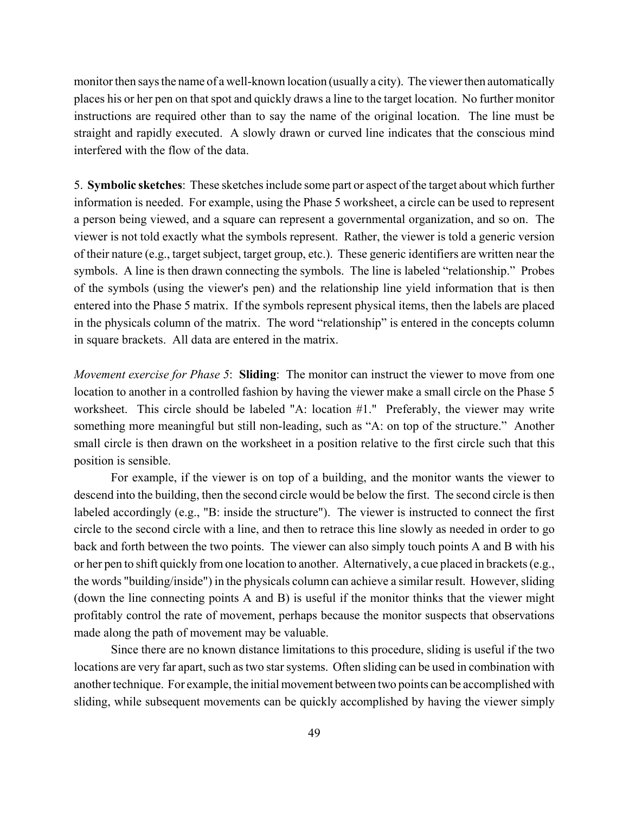monitor then says the name of a well-known location (usually a city). The viewer then automatically places his or her pen on that spot and quickly draws a line to the target location. No further monitor instructions are required other than to say the name of the original location. The line must be straight and rapidly executed. A slowly drawn or curved line indicates that the conscious mind interfered with the flow of the data.

5. **Symbolic sketches**: These sketches include some part or aspect of the target about which further information is needed. For example, using the Phase 5 worksheet, a circle can be used to represent a person being viewed, and a square can represent a governmental organization, and so on. The viewer is not told exactly what the symbols represent. Rather, the viewer is told a generic version of their nature (e.g., target subject, target group, etc.). These generic identifiers are written near the symbols. A line is then drawn connecting the symbols. The line is labeled "relationship." Probes of the symbols (using the viewer's pen) and the relationship line yield information that is then entered into the Phase 5 matrix. If the symbols represent physical items, then the labels are placed in the physicals column of the matrix. The word "relationship" is entered in the concepts column in square brackets. All data are entered in the matrix.

*Movement exercise for Phase 5*: **Sliding**: The monitor can instruct the viewer to move from one location to another in a controlled fashion by having the viewer make a small circle on the Phase 5 worksheet. This circle should be labeled "A: location #1." Preferably, the viewer may write something more meaningful but still non-leading, such as "A: on top of the structure." Another small circle is then drawn on the worksheet in a position relative to the first circle such that this position is sensible.

For example, if the viewer is on top of a building, and the monitor wants the viewer to descend into the building, then the second circle would be below the first. The second circle is then labeled accordingly (e.g., "B: inside the structure"). The viewer is instructed to connect the first circle to the second circle with a line, and then to retrace this line slowly as needed in order to go back and forth between the two points. The viewer can also simply touch points A and B with his or her pen to shift quickly from one location to another. Alternatively, a cue placed in brackets (e.g., the words "building/inside") in the physicals column can achieve a similar result. However, sliding (down the line connecting points A and B) is useful if the monitor thinks that the viewer might profitably control the rate of movement, perhaps because the monitor suspects that observations made along the path of movement may be valuable.

Since there are no known distance limitations to this procedure, sliding is useful if the two locations are very far apart, such as two star systems. Often sliding can be used in combination with another technique. For example, the initial movement between two points can be accomplished with sliding, while subsequent movements can be quickly accomplished by having the viewer simply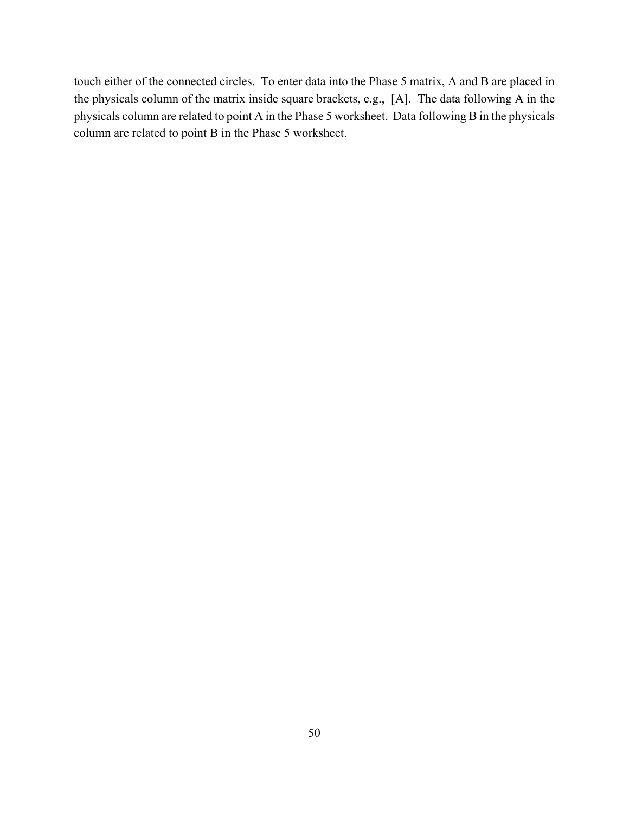touch either of the connected circles. To enter data into the Phase 5 matrix, A and B are placed in the physicals column of the matrix inside square brackets, e.g., [A]. The data following A in the physicals column are related to point A in the Phase 5 worksheet. Data following B in the physicals column are related to point B in the Phase 5 worksheet.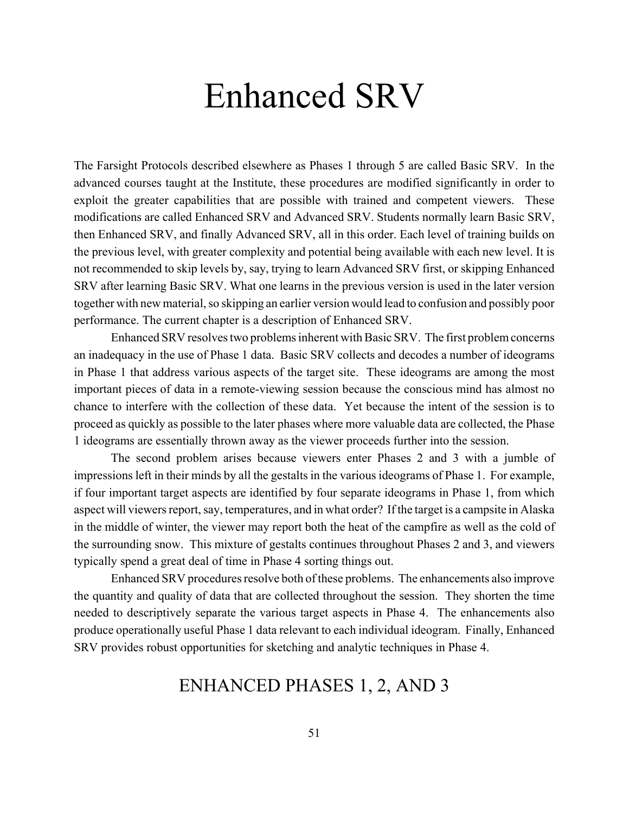# Enhanced SRV

The Farsight Protocols described elsewhere as Phases 1 through 5 are called Basic SRV. In the advanced courses taught at the Institute, these procedures are modified significantly in order to exploit the greater capabilities that are possible with trained and competent viewers. These modifications are called Enhanced SRV and Advanced SRV. Students normally learn Basic SRV, then Enhanced SRV, and finally Advanced SRV, all in this order. Each level of training builds on the previous level, with greater complexity and potential being available with each new level. It is not recommended to skip levels by, say, trying to learn Advanced SRV first, or skipping Enhanced SRV after learning Basic SRV. What one learns in the previous version is used in the later version together with new material, so skipping an earlier version would lead to confusion and possibly poor performance. The current chapter is a description of Enhanced SRV.

Enhanced SRV resolves two problems inherent with Basic SRV. The first problem concerns an inadequacy in the use of Phase 1 data. Basic SRV collects and decodes a number of ideograms in Phase 1 that address various aspects of the target site. These ideograms are among the most important pieces of data in a remote-viewing session because the conscious mind has almost no chance to interfere with the collection of these data. Yet because the intent of the session is to proceed as quickly as possible to the later phases where more valuable data are collected, the Phase 1 ideograms are essentially thrown away as the viewer proceeds further into the session.

The second problem arises because viewers enter Phases 2 and 3 with a jumble of impressions left in their minds by all the gestalts in the various ideograms of Phase 1. For example, if four important target aspects are identified by four separate ideograms in Phase 1, from which aspect will viewers report, say, temperatures, and in what order? If the target is a campsite in Alaska in the middle of winter, the viewer may report both the heat of the campfire as well as the cold of the surrounding snow. This mixture of gestalts continues throughout Phases 2 and 3, and viewers typically spend a great deal of time in Phase 4 sorting things out.

Enhanced SRV procedures resolve both of these problems. The enhancements also improve the quantity and quality of data that are collected throughout the session. They shorten the time needed to descriptively separate the various target aspects in Phase 4. The enhancements also produce operationally useful Phase 1 data relevant to each individual ideogram. Finally, Enhanced SRV provides robust opportunities for sketching and analytic techniques in Phase 4.

## ENHANCED PHASES 1, 2, AND 3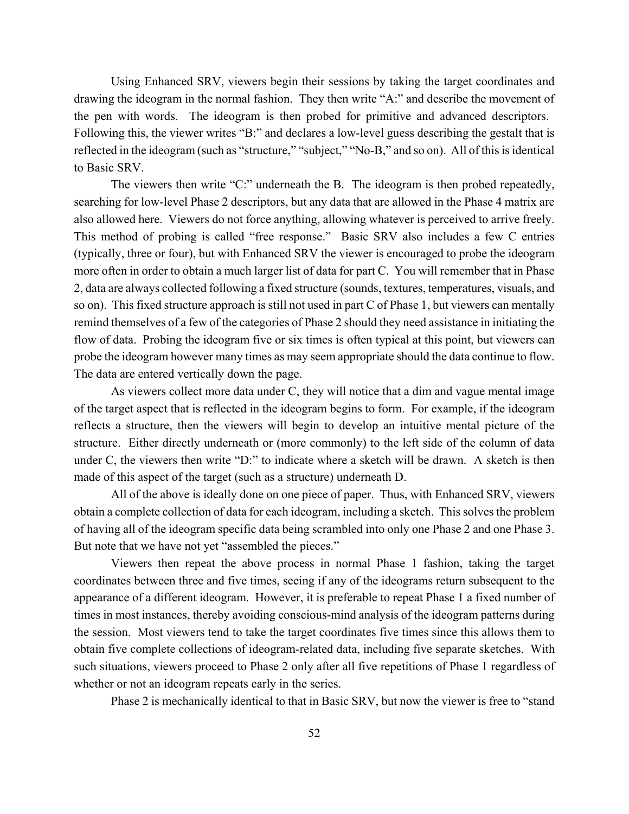Using Enhanced SRV, viewers begin their sessions by taking the target coordinates and drawing the ideogram in the normal fashion. They then write "A:" and describe the movement of the pen with words. The ideogram is then probed for primitive and advanced descriptors. Following this, the viewer writes "B:" and declares a low-level guess describing the gestalt that is reflected in the ideogram (such as "structure," "subject," "No-B," and so on). All of this is identical to Basic SRV.

The viewers then write "C:" underneath the B. The ideogram is then probed repeatedly, searching for low-level Phase 2 descriptors, but any data that are allowed in the Phase 4 matrix are also allowed here. Viewers do not force anything, allowing whatever is perceived to arrive freely. This method of probing is called "free response." Basic SRV also includes a few C entries (typically, three or four), but with Enhanced SRV the viewer is encouraged to probe the ideogram more often in order to obtain a much larger list of data for part C. You will remember that in Phase 2, data are always collected following a fixed structure (sounds, textures, temperatures, visuals, and so on). This fixed structure approach is still not used in part C of Phase 1, but viewers can mentally remind themselves of a few of the categories of Phase 2 should they need assistance in initiating the flow of data. Probing the ideogram five or six times is often typical at this point, but viewers can probe the ideogram however many times as may seem appropriate should the data continue to flow. The data are entered vertically down the page.

As viewers collect more data under C, they will notice that a dim and vague mental image of the target aspect that is reflected in the ideogram begins to form. For example, if the ideogram reflects a structure, then the viewers will begin to develop an intuitive mental picture of the structure. Either directly underneath or (more commonly) to the left side of the column of data under C, the viewers then write "D:" to indicate where a sketch will be drawn. A sketch is then made of this aspect of the target (such as a structure) underneath D.

All of the above is ideally done on one piece of paper. Thus, with Enhanced SRV, viewers obtain a complete collection of data for each ideogram, including a sketch. This solves the problem of having all of the ideogram specific data being scrambled into only one Phase 2 and one Phase 3. But note that we have not yet "assembled the pieces."

Viewers then repeat the above process in normal Phase 1 fashion, taking the target coordinates between three and five times, seeing if any of the ideograms return subsequent to the appearance of a different ideogram. However, it is preferable to repeat Phase 1 a fixed number of times in most instances, thereby avoiding conscious-mind analysis of the ideogram patterns during the session. Most viewers tend to take the target coordinates five times since this allows them to obtain five complete collections of ideogram-related data, including five separate sketches. With such situations, viewers proceed to Phase 2 only after all five repetitions of Phase 1 regardless of whether or not an ideogram repeats early in the series.

Phase 2 is mechanically identical to that in Basic SRV, but now the viewer is free to "stand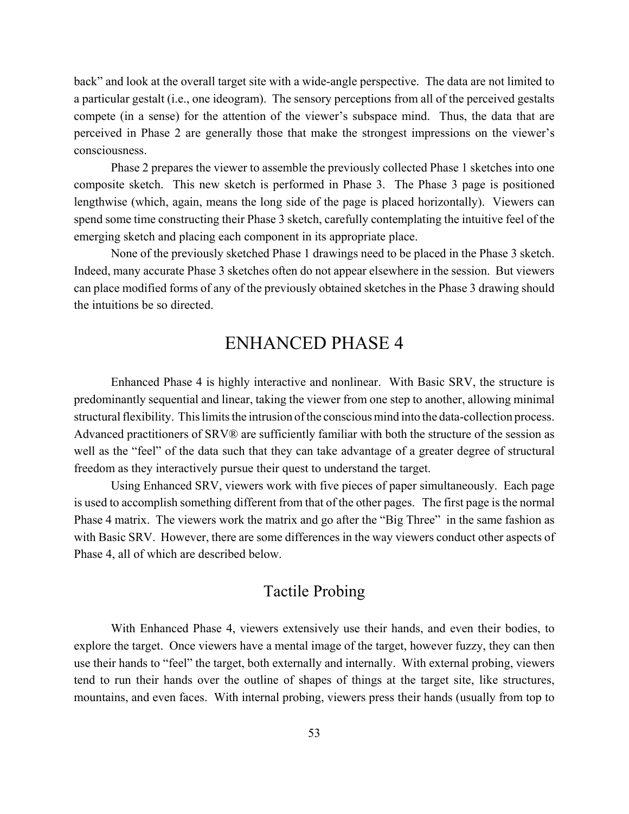back" and look at the overall target site with a wide-angle perspective. The data are not limited to a particular gestalt (i.e., one ideogram). The sensory perceptions from all of the perceived gestalts compete (in a sense) for the attention of the viewer's subspace mind. Thus, the data that are perceived in Phase 2 are generally those that make the strongest impressions on the viewer's consciousness.

Phase 2 prepares the viewer to assemble the previously collected Phase 1 sketches into one composite sketch. This new sketch is performed in Phase 3. The Phase 3 page is positioned lengthwise (which, again, means the long side of the page is placed horizontally). Viewers can spend some time constructing their Phase 3 sketch, carefully contemplating the intuitive feel of the emerging sketch and placing each component in its appropriate place.

None of the previously sketched Phase 1 drawings need to be placed in the Phase 3 sketch. Indeed, many accurate Phase 3 sketches often do not appear elsewhere in the session. But viewers can place modified forms of any of the previously obtained sketches in the Phase 3 drawing should the intuitions be so directed.

### ENHANCED PHASE 4

Enhanced Phase 4 is highly interactive and nonlinear. With Basic SRV, the structure is predominantly sequential and linear, taking the viewer from one step to another, allowing minimal structural flexibility. This limits the intrusion of the conscious mind into the data-collection process. Advanced practitioners of SRV® are sufficiently familiar with both the structure of the session as well as the "feel" of the data such that they can take advantage of a greater degree of structural freedom as they interactively pursue their quest to understand the target.

Using Enhanced SRV, viewers work with five pieces of paper simultaneously. Each page is used to accomplish something different from that of the other pages. The first page is the normal Phase 4 matrix. The viewers work the matrix and go after the "Big Three" in the same fashion as with Basic SRV. However, there are some differences in the way viewers conduct other aspects of Phase 4, all of which are described below.

### Tactile Probing

With Enhanced Phase 4, viewers extensively use their hands, and even their bodies, to explore the target. Once viewers have a mental image of the target, however fuzzy, they can then use their hands to "feel" the target, both externally and internally. With external probing, viewers tend to run their hands over the outline of shapes of things at the target site, like structures, mountains, and even faces. With internal probing, viewers press their hands (usually from top to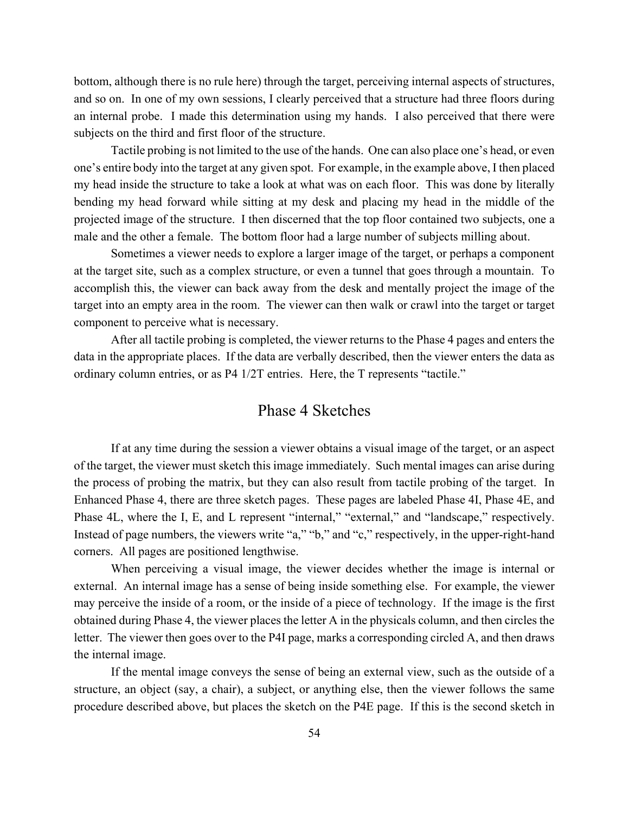bottom, although there is no rule here) through the target, perceiving internal aspects of structures, and so on. In one of my own sessions, I clearly perceived that a structure had three floors during an internal probe. I made this determination using my hands. I also perceived that there were subjects on the third and first floor of the structure.

Tactile probing is not limited to the use of the hands. One can also place one's head, or even one's entire body into the target at any given spot. For example, in the example above, I then placed my head inside the structure to take a look at what was on each floor. This was done by literally bending my head forward while sitting at my desk and placing my head in the middle of the projected image of the structure. I then discerned that the top floor contained two subjects, one a male and the other a female. The bottom floor had a large number of subjects milling about.

Sometimes a viewer needs to explore a larger image of the target, or perhaps a component at the target site, such as a complex structure, or even a tunnel that goes through a mountain. To accomplish this, the viewer can back away from the desk and mentally project the image of the target into an empty area in the room. The viewer can then walk or crawl into the target or target component to perceive what is necessary.

After all tactile probing is completed, the viewer returns to the Phase 4 pages and enters the data in the appropriate places. If the data are verbally described, then the viewer enters the data as ordinary column entries, or as P4 1/2T entries. Here, the T represents "tactile."

#### Phase 4 Sketches

If at any time during the session a viewer obtains a visual image of the target, or an aspect of the target, the viewer must sketch this image immediately. Such mental images can arise during the process of probing the matrix, but they can also result from tactile probing of the target. In Enhanced Phase 4, there are three sketch pages. These pages are labeled Phase 4I, Phase 4E, and Phase 4L, where the I, E, and L represent "internal," "external," and "landscape," respectively. Instead of page numbers, the viewers write "a," "b," and "c," respectively, in the upper-right-hand corners. All pages are positioned lengthwise.

When perceiving a visual image, the viewer decides whether the image is internal or external. An internal image has a sense of being inside something else. For example, the viewer may perceive the inside of a room, or the inside of a piece of technology. If the image is the first obtained during Phase 4, the viewer places the letter A in the physicals column, and then circles the letter. The viewer then goes over to the P4I page, marks a corresponding circled A, and then draws the internal image.

If the mental image conveys the sense of being an external view, such as the outside of a structure, an object (say, a chair), a subject, or anything else, then the viewer follows the same procedure described above, but places the sketch on the P4E page. If this is the second sketch in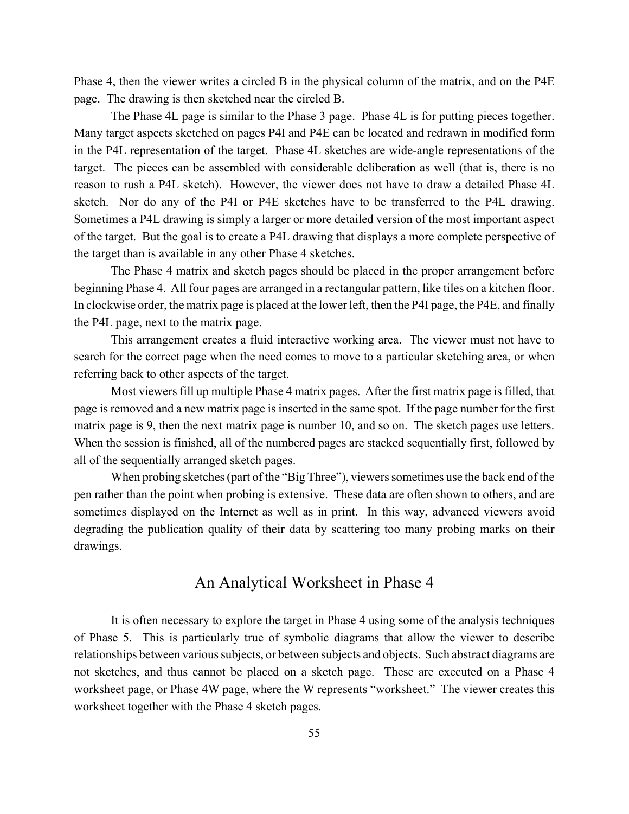Phase 4, then the viewer writes a circled B in the physical column of the matrix, and on the P4E page. The drawing is then sketched near the circled B.

The Phase 4L page is similar to the Phase 3 page. Phase 4L is for putting pieces together. Many target aspects sketched on pages P4I and P4E can be located and redrawn in modified form in the P4L representation of the target. Phase 4L sketches are wide-angle representations of the target. The pieces can be assembled with considerable deliberation as well (that is, there is no reason to rush a P4L sketch). However, the viewer does not have to draw a detailed Phase 4L sketch. Nor do any of the P4I or P4E sketches have to be transferred to the P4L drawing. Sometimes a P4L drawing is simply a larger or more detailed version of the most important aspect of the target. But the goal is to create a P4L drawing that displays a more complete perspective of the target than is available in any other Phase 4 sketches.

The Phase 4 matrix and sketch pages should be placed in the proper arrangement before beginning Phase 4. All four pages are arranged in a rectangular pattern, like tiles on a kitchen floor. In clockwise order, the matrix page is placed at the lower left, then the P4I page, the P4E, and finally the P4L page, next to the matrix page.

This arrangement creates a fluid interactive working area. The viewer must not have to search for the correct page when the need comes to move to a particular sketching area, or when referring back to other aspects of the target.

Most viewers fill up multiple Phase 4 matrix pages. After the first matrix page is filled, that page is removed and a new matrix page is inserted in the same spot. If the page number for the first matrix page is 9, then the next matrix page is number 10, and so on. The sketch pages use letters. When the session is finished, all of the numbered pages are stacked sequentially first, followed by all of the sequentially arranged sketch pages.

When probing sketches (part of the "Big Three"), viewers sometimes use the back end of the pen rather than the point when probing is extensive. These data are often shown to others, and are sometimes displayed on the Internet as well as in print. In this way, advanced viewers avoid degrading the publication quality of their data by scattering too many probing marks on their drawings.

#### An Analytical Worksheet in Phase 4

It is often necessary to explore the target in Phase 4 using some of the analysis techniques of Phase 5. This is particularly true of symbolic diagrams that allow the viewer to describe relationships between various subjects, or between subjects and objects. Such abstract diagrams are not sketches, and thus cannot be placed on a sketch page. These are executed on a Phase 4 worksheet page, or Phase 4W page, where the W represents "worksheet." The viewer creates this worksheet together with the Phase 4 sketch pages.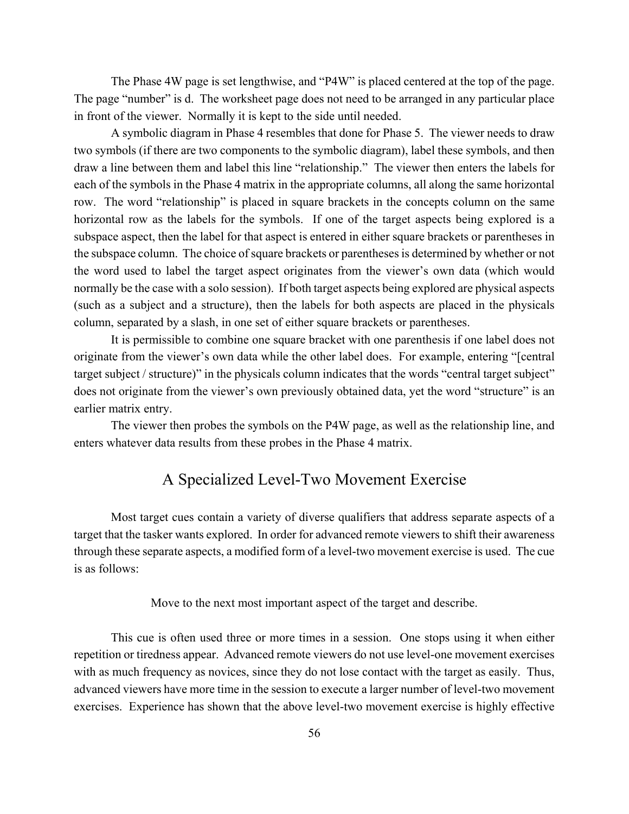The Phase 4W page is set lengthwise, and "P4W" is placed centered at the top of the page. The page "number" is d. The worksheet page does not need to be arranged in any particular place in front of the viewer. Normally it is kept to the side until needed.

A symbolic diagram in Phase 4 resembles that done for Phase 5. The viewer needs to draw two symbols (if there are two components to the symbolic diagram), label these symbols, and then draw a line between them and label this line "relationship." The viewer then enters the labels for each of the symbols in the Phase 4 matrix in the appropriate columns, all along the same horizontal row. The word "relationship" is placed in square brackets in the concepts column on the same horizontal row as the labels for the symbols. If one of the target aspects being explored is a subspace aspect, then the label for that aspect is entered in either square brackets or parentheses in the subspace column. The choice of square brackets or parentheses is determined by whether or not the word used to label the target aspect originates from the viewer's own data (which would normally be the case with a solo session). If both target aspects being explored are physical aspects (such as a subject and a structure), then the labels for both aspects are placed in the physicals column, separated by a slash, in one set of either square brackets or parentheses.

It is permissible to combine one square bracket with one parenthesis if one label does not originate from the viewer's own data while the other label does. For example, entering "[central target subject / structure)" in the physicals column indicates that the words "central target subject" does not originate from the viewer's own previously obtained data, yet the word "structure" is an earlier matrix entry.

The viewer then probes the symbols on the P4W page, as well as the relationship line, and enters whatever data results from these probes in the Phase 4 matrix.

#### A Specialized Level-Two Movement Exercise

Most target cues contain a variety of diverse qualifiers that address separate aspects of a target that the tasker wants explored. In order for advanced remote viewers to shift their awareness through these separate aspects, a modified form of a level-two movement exercise is used. The cue is as follows:

Move to the next most important aspect of the target and describe.

This cue is often used three or more times in a session. One stops using it when either repetition or tiredness appear. Advanced remote viewers do not use level-one movement exercises with as much frequency as novices, since they do not lose contact with the target as easily. Thus, advanced viewers have more time in the session to execute a larger number of level-two movement exercises. Experience has shown that the above level-two movement exercise is highly effective